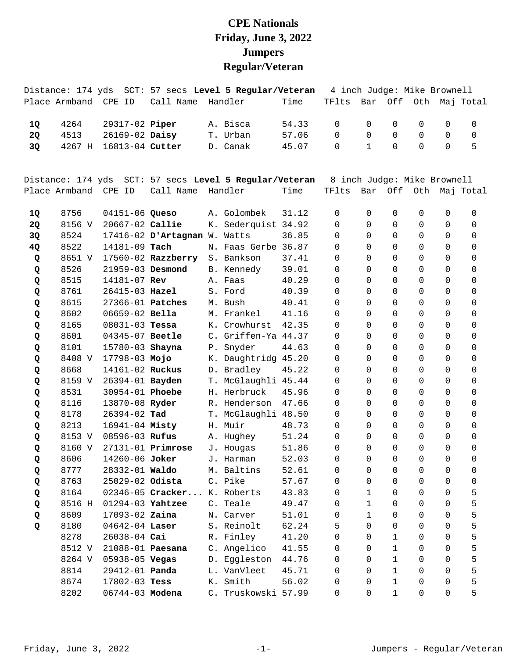## **CPE Nationals Friday, June 3, 2022 Jumpers Regular/Veteran**

Distance: 174 yds SCT: 57 secs **Level 5 Regular/Veteran** 4 inch Judge: Mike Brownell

|           | Place Armband | CPE ID                | Call Name                    | Handler                                                | Time  | TFlts                       | Bar          | Off          | Oth            |                | Maj Total      |
|-----------|---------------|-----------------------|------------------------------|--------------------------------------------------------|-------|-----------------------------|--------------|--------------|----------------|----------------|----------------|
| 1Q        | 4264          | 29317-02 Piper        |                              | A. Bisca                                               | 54.33 | $\Omega$                    | $\Omega$     | 0            | 0              | $\mathbf 0$    | 0              |
| 2Q        | 4513          | 26169-02 Daisy        |                              | T. Urban                                               | 57.06 | $\Omega$                    | $\Omega$     | 0            | 0              | 0              | $\mathbf 0$    |
| 3Q        | 4267 H        | 16813-04 Cutter       |                              | D. Canak                                               | 45.07 | 0                           | $\mathbf{1}$ | $\mathbf 0$  | $\mathbf 0$    | $\mathbf 0$    | 5              |
|           |               |                       |                              | Distance: 174 yds SCT: 57 secs Level 5 Regular/Veteran |       | 8 inch Judge: Mike Brownell |              |              |                |                |                |
|           | Place Armband | CPE ID                | Call Name                    | Handler                                                | Time  | TFlts                       | Bar          | Off          |                |                | Oth Maj Total  |
| 1Q        | 8756          | 04151-06 Queso        |                              | A. Golombek                                            | 31.12 | $\Omega$                    | $\Omega$     | 0            | 0              | $\mathbf 0$    | 0              |
| <b>2Q</b> | 8156 V        | 20667-02 Callie       |                              | K. Sederquist 34.92                                    |       | $\Omega$                    | $\Omega$     | 0            | 0              | $\Omega$       | 0              |
| 3Q        | 8524          |                       | 17416-02 D'Artagnan W. Watts |                                                        | 36.85 | $\Omega$                    | $\Omega$     | $\Omega$     | $\mathbf 0$    | $\Omega$       | 0              |
| 4Q        | 8522          | 14181-09 Tach         |                              | N. Faas Gerbe 36.87                                    |       | 0                           | $\Omega$     | $\Omega$     | 0              | $\mathbf 0$    | 0              |
| Q         | 8651 V        |                       | $17560 - 02$ Razzberry       | S. Bankson                                             | 37.41 | 0                           | $\Omega$     | $\Omega$     | 0              | $\Omega$       | 0              |
| Q         | 8526          | 21959-03 Desmond      |                              | B. Kennedy                                             | 39.01 | $\Omega$                    | $\Omega$     | 0            | 0              | $\Omega$       | 0              |
| Q         | 8515          | 14181-07 Rev          |                              | A. Faas                                                | 40.29 | $\Omega$                    | $\Omega$     | $\Omega$     | 0              | $\Omega$       | $\overline{0}$ |
| Q         | 8761          | 26415-03 Hazel        |                              | S. Ford                                                | 40.39 | 0                           | $\Omega$     | $\mathbf 0$  | $\mathbf 0$    | $\Omega$       | 0              |
| Q         | 8615          | 27366-01 Patches      |                              | M. Bush                                                | 40.41 | 0                           | $\Omega$     | $\Omega$     | 0              | $\Omega$       | 0              |
| Q         | 8602          | 06659-02 Bella        |                              | M. Frankel                                             | 41.16 | $\Omega$                    | $\Omega$     | $\Omega$     | 0              | $\Omega$       | 0              |
| Q         | 8165          | $08031 - 03$ Tessa    |                              | K. Crowhurst                                           | 42.35 | $\Omega$                    | $\Omega$     | $\Omega$     | 0              | $\Omega$       | 0              |
| Q         | 8601          | 04345-07 Beetle       |                              | C. Griffen-Ya 44.37                                    |       | 0                           | $\Omega$     | $\mathbf 0$  | 0              | $\mathbf 0$    | 0              |
| Q         | 8101          | 15780-03 Shayna       |                              | P. Snyder                                              | 44.63 | 0                           | $\Omega$     | $\Omega$     | 0              | 0              | 0              |
| Q         | 8408 V        | 17798-03 Mojo         |                              | K. Daughtridg 45.20                                    |       | 0                           | $\Omega$     | 0            | 0              | 0              | 0              |
| Q         | 8668          | 14161-02 Ruckus       |                              | D. Bradley                                             | 45.22 | 0                           | $\Omega$     | $\mathbf 0$  | 0              | $\Omega$       | 0              |
| Q         | 8159 V        | 26394-01 Bayden       |                              | T. McGlaughli 45.44                                    |       | 0                           | $\Omega$     | $\mathbf 0$  | 0              | $\mathbf 0$    | $\mathbf 0$    |
| Q         | 8531          | 30954-01 Phoebe       |                              | H. Herbruck                                            | 45.96 | 0                           | $\Omega$     | $\mathbf 0$  | 0              | 0              | 0              |
| Q         | 8116          | 13870-08 Ryder        |                              | R. Henderson                                           | 47.66 | $\Omega$                    | $\Omega$     | $\Omega$     | 0              | 0              | 0              |
| Q         | 8178          | 26394-02 Tad          |                              | T. McGlaughli 48.50                                    |       | 0                           | $\Omega$     | 0            | 0              | $\Omega$       | 0              |
| Q         | 8213          | 16941-04 Misty        |                              | H. Muir                                                | 48.73 | 0                           | $\Omega$     | $\mathbf 0$  | 0              | $\mathbf 0$    | 0              |
| Q         | 8153 V        | 08596-03 Rufus        |                              | A. Hughey                                              | 51.24 | 0                           | $\Omega$     | 0            | 0              | 0              | 0              |
| Q         | 8160 V        |                       | $27131 - 01$ Primrose        | J. Hougas                                              | 51.86 | $\Omega$                    | $\Omega$     | $\Omega$     | 0              | $\Omega$       | $\mathbf 0$    |
| Q         | 8606          | 14260-06 Joker        |                              | J. Harman                                              | 52.03 | 0                           | $\Omega$     | $\Omega$     | 0              | $\mathbf 0$    | 0              |
| Q         | 8777          | 28332-01 Waldo        |                              | M. Baltins                                             | 52.61 | 0                           | $\mathbf 0$  | $\mathsf{O}$ | $\overline{0}$ | $\overline{0}$ | $\mathsf{O}$   |
| Q         | 8763          | 25029-02 Odista       |                              | C. Pike                                                | 57.67 | 0                           | 0            | 0            | 0              | 0              | 0              |
| Q         | 8164          |                       | 02346-05 Cracker             | K. Roberts                                             | 43.83 | 0                           | $\mathbf{1}$ | $\mathbf 0$  | 0              | $\Omega$       | 5              |
| Q         | 8516 H        | 01294-03 Yahtzee      |                              | C. Teale                                               | 49.47 | 0                           | $\mathbf{1}$ | $\mathbf 0$  | 0              | $\Omega$       | 5              |
| Q         | 8609          | 17093-02 Zaina        |                              | N. Carver                                              | 51.01 | 0                           | $\mathbf{1}$ | $\Omega$     | 0              | $\mathbf 0$    | 5              |
| Q         | 8180          | 04642-04 Laser        |                              | S. Reinolt                                             | 62.24 | 5                           | $\Omega$     | $\mathbf 0$  | 0              | 0              | 5              |
|           | 8278          | 26038-04 Cai          |                              | R. Finley                                              | 41.20 | 0                           | $\Omega$     | $\mathbf{1}$ | 0              | $\Omega$       | 5              |
|           | 8512 V        | 21088-01 Paesana      |                              | C. Angelico                                            | 41.55 | $\Omega$                    | $\Omega$     | $\mathbf{1}$ | 0              | 0              | 5              |
|           | 8264 V        | 05938-05 Vegas        |                              | D. Eggleston                                           | 44.76 | 0                           | $\Omega$     | $\mathbf 1$  | 0              | $\Omega$       | 5              |
|           | 8814          | 29412-01 <b>Panda</b> |                              | L. VanVleet                                            | 45.71 | 0                           | $\Omega$     | $\mathbf 1$  | 0              | $\Omega$       | 5              |
|           | 8674          | 17802-03 Tess         |                              | K. Smith                                               | 56.02 | 0                           | $\Omega$     | 1            | 0              | 0              | 5              |
|           | 8202          | 06744-03 Modena       |                              | C. Truskowski 57.99                                    |       | 0                           | $\mathbf 0$  | $\mathbf 1$  | $\mathsf 0$    | 0              | 5              |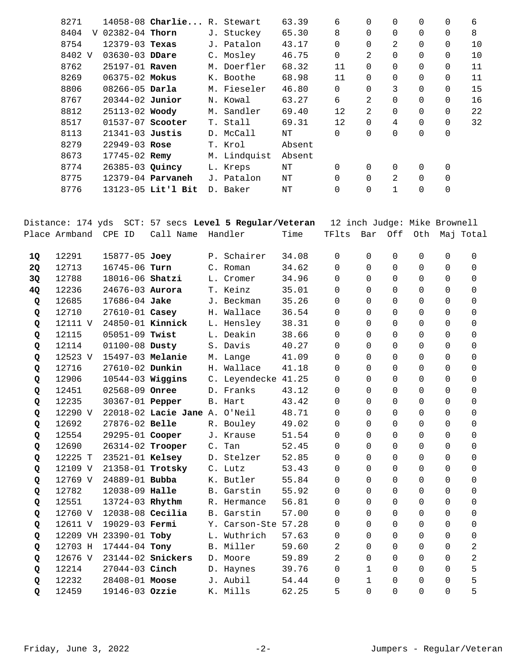| 8271      |                     | 14058-08 Charlie R. Stewart |              | 63.39  | 6        | $\Omega$ | 0        | 0        | 0           | 6  |
|-----------|---------------------|-----------------------------|--------------|--------|----------|----------|----------|----------|-------------|----|
| 8404<br>V | $02382 - 04$ Thorn  |                             | J. Stuckey   | 65.30  | 8        | $\Omega$ | $\Omega$ | 0        | 0           | 8  |
| 8754      | $12379 - 03$ Texas  |                             | J. Patalon   | 43.17  | 0        | 0        | 2        | 0        | 0           | 10 |
| 8402 V    | $03630 - 03$ DDare  |                             | C. Mosley    | 46.75  | 0        | 2        | $\Omega$ | 0        | 0           | 10 |
| 8762      | $25197 - 01$ Raven  |                             | M. Doerfler  | 68.32  | 11       | 0        | $\Omega$ | 0        | 0           | 11 |
| 8269      | $06375 - 02$ Mokus  |                             | K. Boothe    | 68.98  | 11       | 0        | $\Omega$ | 0        | 0           | 11 |
| 8806      | $08266 - 05$ Darla  |                             | M. Fieseler  | 46.80  | 0        | $\Omega$ | 3        | 0        | $\mathbf 0$ | 15 |
| 8767      | $20344 - 02$ Junior |                             | N. Kowal     | 63.27  | 6        | 2        | $\Omega$ | 0        | 0           | 16 |
| 8812      | 25113-02 Woody      |                             | M. Sandler   | 69.40  | 12       | 2        | $\Omega$ | 0        | 0           | 22 |
| 8517      | 01537-07 Scooter    |                             | T. Stall     | 69.31  | 12       | $\Omega$ | 4        | $\Omega$ | $\Omega$    | 32 |
| 8113      | $21341-03$ Justis   |                             | D. McCall    | NΤ     | 0        | 0        | 0        | 0        | 0           |    |
| 8279      | $22949 - 03$ Rose   |                             | T. Krol      | Absent |          |          |          |          |             |    |
| 8673      | 17745-02 Remy       |                             | M. Lindquist | Absent |          |          |          |          |             |    |
| 8774      | 26385-03 Quincy     |                             | L. Kreps     | ΝT     | 0        | 0        | 0        | 0        | 0           |    |
| 8775      |                     | 12379-04 Parvaneh           | J. Patalon   | NΤ     | $\Omega$ | $\Omega$ | 2        | $\Omega$ | $\Omega$    |    |
| 8776      |                     | 13123-05 Lit'l Bit          | D. Baker     | ΝT     | 0        | 0        | 1        | 0        | 0           |    |

|    | Distance: 174 yds |                        | SCT: 57 secs Level 5 Regular/Veteran |                     |       | 12 inch Judge: Mike Brownell |             |          |             |             |                |
|----|-------------------|------------------------|--------------------------------------|---------------------|-------|------------------------------|-------------|----------|-------------|-------------|----------------|
|    | Place Armband     | CPE ID                 | Call Name                            | Handler             | Time  | TFlts                        | Bar         | Off      | Oth         |             | Maj Total      |
| 1Q | 12291             | 15877-05 Joey          |                                      | P. Schairer         | 34.08 | $\Omega$                     | $\mathbf 0$ | 0        | 0           | $\Omega$    | 0              |
| 2Q | 12713             | 16745-06 Turn          |                                      | C. Roman            | 34.62 | 0                            | $\Omega$    | $\Omega$ | $\Omega$    | $\Omega$    | $\Omega$       |
| 3Q | 12788             | 18016-06 Shatzi        |                                      | L. Cromer           | 34.96 | 0                            | $\Omega$    | 0        | $\mathbf 0$ | $\Omega$    | $\mathbf 0$    |
| 4Q | 12236             | 24676-03 Aurora        |                                      | T. Keinz            | 35.01 | $\Omega$                     | $\Omega$    | $\Omega$ | $\Omega$    | $\Omega$    | $\Omega$       |
| Q  | 12685             | 17686-04 Jake          |                                      | J. Beckman          | 35.26 | $\Omega$                     | $\Omega$    | 0        | 0           | $\Omega$    | $\Omega$       |
| Q  | 12710             | 27610-01 Casey         |                                      | H. Wallace          | 36.54 | $\Omega$                     | $\Omega$    | $\Omega$ | $\Omega$    | $\Omega$    | $\Omega$       |
| Q  | 12111 V           |                        | 24850-01 Kinnick                     | L. Hensley          | 38.31 | 0                            | $\Omega$    | 0        | $\mathbf 0$ | $\Omega$    | $\Omega$       |
| Q  | 12115             | 05051-09 Twist         |                                      | L. Deakin           | 38.66 | 0                            | $\Omega$    | 0        | $\mathbf 0$ | $\Omega$    | $\Omega$       |
| Q  | 12114             | 01100-08 Dusty         |                                      | S. Davis            | 40.27 | $\Omega$                     | $\Omega$    | $\Omega$ | $\Omega$    | $\Omega$    | $\Omega$       |
| Q  | 12523 V           |                        | 15497-03 Melanie                     | M. Lange            | 41.09 | 0                            | $\Omega$    | $\Omega$ | $\mathbf 0$ | $\Omega$    | $\Omega$       |
| Q  | 12716             | 27610-02 Dunkin        |                                      | H. Wallace          | 41.18 | $\Omega$                     | $\Omega$    | $\Omega$ | $\Omega$    | $\Omega$    | $\Omega$       |
| Q  | 12906             | 10544-03 Wiggins       |                                      | C. Leyendecke 41.25 |       | 0                            | $\Omega$    | 0        | 0           | 0           | 0              |
| Q  | 12451             | 02568-09 Onree         |                                      | D. Franks           | 43.12 | $\Omega$                     | $\Omega$    | $\Omega$ | $\Omega$    | $\Omega$    | $\Omega$       |
| Q  | 12235             | 30367-01 <b>Pepper</b> |                                      | B. Hart             | 43.42 | $\Omega$                     | $\Omega$    | 0        | 0           | $\Omega$    | $\Omega$       |
| Q  | 12290 V           |                        | 22018-02 Lacie Jane A. O'Neil        |                     | 48.71 | $\Omega$                     | $\Omega$    | $\Omega$ | $\Omega$    | $\Omega$    | $\Omega$       |
| Q  | 12692             | 27876-02 Belle         |                                      | R. Bouley           | 49.02 | $\Omega$                     | $\Omega$    | $\Omega$ | $\mathbf 0$ | $\Omega$    | $\Omega$       |
| Q  | 12554             | 29295-01 Cooper        |                                      | J. Krause           | 51.54 | 0                            | $\Omega$    | 0        | 0           | 0           | 0              |
| Q  | 12690             |                        | 26314-02 Trooper                     | C. Tan              | 52.45 | $\Omega$                     | $\Omega$    | $\Omega$ | $\Omega$    | $\Omega$    | $\Omega$       |
| Q  | 12225 T           | 23521-01 Kelsey        |                                      | D. Stelzer          | 52.85 | 0                            | $\Omega$    | $\Omega$ | $\mathbf 0$ | $\Omega$    | $\Omega$       |
| Q  | 12109 V           |                        | 21358-01 Trotsky                     | C. Lutz             | 53.43 | $\Omega$                     | $\Omega$    | $\Omega$ | $\Omega$    | $\Omega$    | $\Omega$       |
| Q  | 12769 V           | 24889-01 <b>Bubba</b>  |                                      | K. Butler           | 55.84 | 0                            | $\Omega$    | $\Omega$ | $\mathbf 0$ | $\Omega$    | 0              |
| Q  | 12782             | 12038-09 Halle         |                                      | B. Garstin          | 55.92 | 0                            | $\Omega$    | $\Omega$ | $\Omega$    | $\Omega$    | $\Omega$       |
| Q  | 12551             | 13724-03 Rhythm        |                                      | R. Hermance         | 56.81 | $\Omega$                     | $\Omega$    | 0        | 0           | $\mathbf 0$ | 0              |
| Q  | 12760 V           |                        | $12038-08$ Cecilia                   | B. Garstin          | 57.00 | $\Omega$                     | $\Omega$    | $\Omega$ | $\Omega$    | $\Omega$    | $\Omega$       |
| Q  | 12611 V           | 19029-03 Fermi         |                                      | Y. Carson-Ste 57.28 |       | $\Omega$                     | $\Omega$    | $\Omega$ | $\Omega$    | $\Omega$    | $\Omega$       |
| Q  |                   | 12209 VH 23390-01 Toby |                                      | L. Wuthrich         | 57.63 | 0                            | $\Omega$    | 0        | $\mathsf 0$ | $\Omega$    | 0              |
| Q  | 12703 H           | 17444-04 Tony          |                                      | B. Miller           | 59.60 | 2                            | $\Omega$    | $\Omega$ | $\Omega$    | $\Omega$    | 2              |
| Q  | 12676 V           |                        | 23144-02 Snickers                    | D. Moore            | 59.89 | $\overline{2}$               | $\Omega$    | 0        | $\mathbf 0$ | $\Omega$    | $\overline{2}$ |
| Q  | 12214             | 27044-03 Cinch         |                                      | D. Haynes           | 39.76 | $\Omega$                     | $\mathbf 1$ | $\Omega$ | $\Omega$    | $\Omega$    | 5              |
| Q  | 12232             | 28408-01 Moose         |                                      | J. Aubil            | 54.44 | 0                            | $\mathbf 1$ | 0        | $\Omega$    | $\Omega$    | 5              |
| Q  | 12459             | 19146-03 Ozzie         |                                      | K. Mills            | 62.25 | 5                            | $\Omega$    | $\Omega$ | $\Omega$    | $\Omega$    | 5              |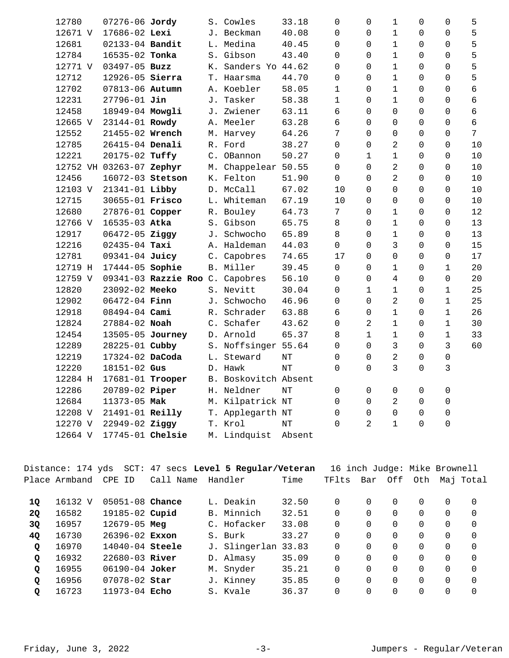| 12780                    | 07276-06 Jordy    |                                 | S. Cowles            | 33.18  | 0               | $\mathbf 0$    | $\mathbf{1}$   | 0        | 0            | 5              |
|--------------------------|-------------------|---------------------------------|----------------------|--------|-----------------|----------------|----------------|----------|--------------|----------------|
| 12671 V                  | 17686-02 Lexi     |                                 | J. Beckman           | 40.08  | $\Omega$        | $\Omega$       | $\mathbf 1$    | 0        | 0            | 5              |
| 12681                    | 02133-04 Bandit   |                                 | L. Medina            | 40.45  | 0               | $\Omega$       | $\mathbf 1$    | 0        | 0            | 5              |
| 12784                    | 16535-02 Tonka    |                                 | S. Gibson            | 43.40  | 0               | $\Omega$       | $\mathbf{1}$   | 0        | 0            | 5              |
| 12771 V                  | 03497-05 Buzz     |                                 | K. Sanders Yo 44.62  |        | $\Omega$        | $\Omega$       | $\mathbf{1}$   | $\Omega$ | $\Omega$     | 5              |
| 12712                    | 12926-05 Sierra   |                                 | T. Haarsma           | 44.70  | $\mathbf 0$     | 0              | $\mathbf{1}$   | 0        | 0            | 5              |
| 12702                    | 07813-06 Autumn   |                                 | A. Koebler           | 58.05  | $\mathbf{1}$    | $\mathbf 0$    | $\mathbf{1}$   | 0        | 0            | 6              |
| 12231                    | $27796 - 01$ Jin  |                                 | J. Tasker            | 58.38  | $\mathbf 1$     | $\Omega$       | $\mathbf{1}$   | 0        | 0            | 6              |
| 12458                    | 18949-04 Mowgli   |                                 | J. Zwiener           | 63.11  | 6               | $\Omega$       | $\Omega$       | 0        | 0            | 6              |
| 12665 V                  | 23144-01 Rowdy    |                                 | A. Meeler            | 63.28  | 6               | $\Omega$       | $\mathbf 0$    | 0        | 0            | 6              |
| 12552                    | 21455-02 Wrench   |                                 | M. Harvey            | 64.26  | $7\overline{ }$ | $\Omega$       | 0              | 0        | $\Omega$     | $\overline{7}$ |
| 12785                    | 26415-04 Denali   |                                 | R. Ford              | 38.27  | 0               | 0              | $\overline{2}$ | 0        | 0            | 10             |
| 12221                    | 20175-02 Tuffy    |                                 | C. OBannon           | 50.27  | 0               | $\mathbf 1$    | $\mathbf 1$    | 0        | 0            | $10$           |
| 12752 VH 03263-07 Zephyr |                   |                                 | M. Chappelear        | 50.55  | $\Omega$        | $\Omega$       | 2              | 0        | 0            | 10             |
| 12456                    | 16072-03 Stetson  |                                 | K. Felton            | 51.90  | $\mathbf 0$     | $\Omega$       | $\overline{2}$ | 0        | 0            | 10             |
| 12103 V                  | 21341-01 Libby    |                                 | D. McCall            | 67.02  | 10              | $\Omega$       | 0              | 0        | 0            | 10             |
| 12715                    | 30655-01 Frisco   |                                 | L. Whiteman          | 67.19  | 10              | $\Omega$       | $\mathbf 0$    | 0        | 0            | $10$           |
| 12680                    | 27876-01 Copper   |                                 | R. Bouley            | 64.73  | $\overline{7}$  | $\Omega$       | $\mathbf{1}$   | 0        | 0            | 12             |
| 12766 V                  | 16535-03 Atka     |                                 | S. Gibson            | 65.75  | 8               | $\Omega$       | $\mathbf{1}$   | 0        | 0            | 13             |
| 12917                    | 06472-05 Ziggy    |                                 | J. Schwocho          | 65.89  | 8               | $\Omega$       | $\mathbf 1$    | 0        | 0            | 13             |
| 12216                    | $02435 - 04$ Taxi |                                 | A. Haldeman          | 44.03  | 0               | $\Omega$       | 3              | 0        | 0            | 15             |
| 12781                    | 09341-04 Juicy    |                                 | C. Capobres          | 74.65  | 17              | $\Omega$       | $\mathbf 0$    | 0        | 0            | 17             |
| 12719 H                  | 17444-05 Sophie   |                                 | B. Miller            | 39.45  | $\mathbf 0$     | $\Omega$       | $\mathbf 1$    | 0        | $\mathbf 1$  | 20             |
| 12759 V                  |                   | 09341-03 Razzie Roo C. Capobres |                      | 56.10  | 0               | 0              | 4              | 0        | 0            | 20             |
| 12820                    | 23092-02 Meeko    |                                 | S. Nevitt            | 30.04  | 0               | $\mathbf 1$    | $\mathbf{1}$   | 0        | $\mathbf 1$  | 25             |
| 12902                    | $06472 - 04$ Finn |                                 | J. Schwocho          | 46.96  | 0               | $\mathbf 0$    | $\overline{2}$ | 0        | $\mathbf{1}$ | 25             |
| 12918                    | $08494 - 04$ Cami |                                 | R. Schrader          | 63.88  | 6               | $\mathbf 0$    | $\mathbf{1}$   | 0        | $\mathbf{1}$ | 26             |
| 12824                    | 27884-02 Noah     |                                 | C. Schafer           | 43.62  | 0               | $\overline{a}$ | $\mathbf 1$    | $\Omega$ | $\mathbf 1$  | 30             |
| 12454                    | 13505-05 Journey  |                                 | D. Arnold            | 65.37  | 8               | $\mathbf{1}$   | $\mathbf{1}$   | 0        | $\mathbf 1$  | 33             |
| 12289                    | 28225-01 Cubby    |                                 | S. Noffsinger 55.64  |        | 0               | $\Omega$       | 3              | 0        | 3            | 60             |
| 12219                    | 17324-02 DaCoda   |                                 | L. Steward           | NΤ     | $\Omega$        | $\Omega$       | 2              | 0        | 0            |                |
| 12220                    | 18151-02 Gus      |                                 | D. Hawk              | NT     | 0               | $\Omega$       | 3              | 0        | 3            |                |
| 12284 H                  | 17681-01 Trooper  |                                 | B. Boskovitch Absent |        |                 |                |                |          |              |                |
| 12286                    | 20789-02 Piper    |                                 | H. Neldner           | NT     | $\Omega$        | $\Omega$       | $\mathbf 0$    | 0        | 0            |                |
| 12684                    | 11373-05 Mak      |                                 | M. Kilpatrick NT     |        | $\Omega$        | $\Omega$       | 2              | 0        | 0            |                |
| 12208 V                  | 21491-01 Reilly   |                                 | T. Applegarth NT     |        | 0               | 0              | $\mathsf 0$    | 0        | 0            |                |
| 12270 V                  | 22949-02 Ziggy    |                                 | T. Krol              | NT     | $\Omega$        | 2              | $\mathbf{1}$   | 0        | 0            |                |
| 12664 V                  | 17745-01 Chelsie  |                                 | M. Lindquist         | Absent |                 |                |                |          |              |                |
|                          |                   |                                 |                      |        |                 |                |                |          |              |                |

|              |               |                     |           | Distance: 174 yds  SCT: 47 secs <b>Level 5 Reqular/Veteran</b> |       | 16 inch Judge: Mike Brownell |          |          |             |          |           |
|--------------|---------------|---------------------|-----------|----------------------------------------------------------------|-------|------------------------------|----------|----------|-------------|----------|-----------|
|              | Place Armband | CPE ID              | Call Name | Handler                                                        | Time  | TFlts                        | Bar      | Off      | Oth         |          | Maj Total |
|              |               |                     |           |                                                                |       |                              |          |          |             |          |           |
| 10           | 16132 V       | 05051-08 Chance     |           | L. Deakin                                                      | 32.50 | $\Omega$                     | $\Omega$ | $\Omega$ | $\Omega$    | $\Omega$ | $\Omega$  |
| <b>2Q</b>    | 16582         | 19185-02 Cupid      |           | B. Minnich                                                     | 32.51 | $\Omega$                     | $\Omega$ | $\Omega$ | $\mathbf 0$ | $\Omega$ | $\Omega$  |
| 3Q           | 16957         | $12679 - 05$ Meg    |           | C. Hofacker                                                    | 33.08 | $\Omega$                     | $\Omega$ | $\Omega$ | $\mathbf 0$ | $\Omega$ | $\Omega$  |
| <b>40</b>    | 16730         | $26396 - 02$ Exxon  |           | S. Burk                                                        | 33.27 | $\Omega$                     | $\Omega$ | $\Omega$ | $\Omega$    | $\Omega$ | $\Omega$  |
| $\mathbf{Q}$ | 16970         | $14040 - 04$ Steele |           | J. Slingerlan                                                  | 33.83 | $\Omega$                     | $\Omega$ | $\Omega$ | $\Omega$    | $\Omega$ | $\Omega$  |
| Q            | 16932         | $22680 - 03$ River  |           | D. Almasy                                                      | 35.09 | $\Omega$                     | $\Omega$ | $\Omega$ | $\Omega$    | $\Omega$ | $\Omega$  |
| Q            | 16955         | $06190 - 04$ Joker  |           | M. Snyder                                                      | 35.21 | $\Omega$                     | $\Omega$ | $\Omega$ | $\Omega$    | $\Omega$ | $\Omega$  |
| Q            | 16956         | $07078 - 02$ Star   |           | J. Kinney                                                      | 35.85 | $\Omega$                     | $\Omega$ | $\Omega$ | $\Omega$    | $\Omega$ | $\Omega$  |
| Q            | 16723         | 11973-04 Echo       |           | S. Kvale                                                       | 36.37 | 0                            | $\Omega$ | 0        | 0           | 0        | $\Omega$  |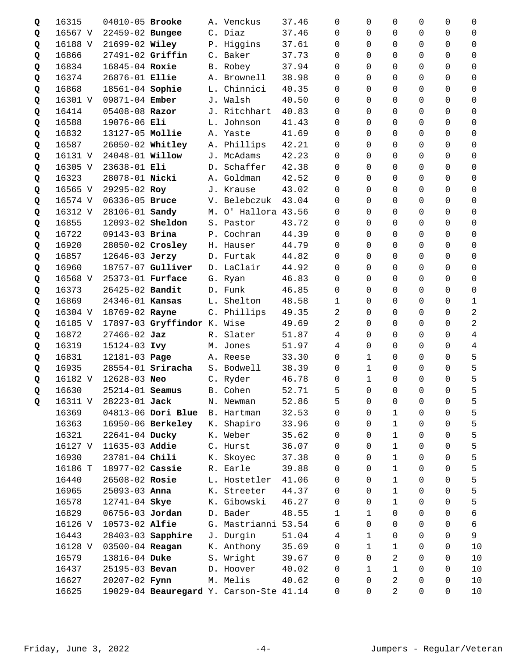| Q | 16315   | 04010-05 Brooke         |                             | A. Venckus                              | 37.46 | 0              | 0              | 0              | 0              | 0              | 0           |
|---|---------|-------------------------|-----------------------------|-----------------------------------------|-------|----------------|----------------|----------------|----------------|----------------|-------------|
| Q | 16567 V | 22459-02 Bungee         |                             | C. Diaz                                 | 37.46 | $\Omega$       | $\Omega$       | 0              | 0              | 0              | 0           |
| Q | 16188 V | 21699-02 Wiley          |                             | P. Higgins                              | 37.61 | 0              | $\Omega$       | $\Omega$       | 0              | $\Omega$       | $\Omega$    |
| Q | 16866   | 27491-02 Griffin        |                             | C. Baker                                | 37.73 | $\Omega$       | $\Omega$       | 0              | 0              | 0              | 0           |
| Q | 16834   | 16845-04 Roxie          |                             | B. Robey                                | 37.94 | $\Omega$       | $\Omega$       | $\Omega$       | 0              | 0              | 0           |
| Q | 16374   | 26876-01 Ellie          |                             | A. Brownell                             | 38.98 | $\Omega$       | $\Omega$       | $\Omega$       | 0              | 0              | 0           |
| Q | 16868   | 18561-04 Sophie         |                             | L. Chinnici                             | 40.35 | $\Omega$       | $\Omega$       | $\Omega$       | 0              | $\Omega$       | 0           |
| Q | 16301 V | 09871-04 Ember          |                             | J. Walsh                                | 40.50 | 0              | $\Omega$       | $\Omega$       | 0              | 0              | $\Omega$    |
| Q | 16414   | $05408 - 08$ Razor      |                             | J. Ritchhart                            | 40.83 | $\mathbf 0$    | $\Omega$       | $\Omega$       | 0              | 0              | 0           |
| Q | 16588   | 19076-06 Eli            |                             | L. Johnson                              | 41.43 | 0              | $\Omega$       | $\Omega$       | 0              | $\Omega$       | 0           |
| Q | 16832   | 13127-05 Mollie         |                             | A. Yaste                                | 41.69 | 0              | $\Omega$       | $\Omega$       | 0              | 0              | 0           |
| Q | 16587   | 26050-02 Whitley        |                             | A. Phillips                             | 42.21 | 0              | $\Omega$       | $\Omega$       | 0              | 0              | 0           |
| Q | 16131 V | 24048-01 <b>Willow</b>  |                             | J. McAdams                              | 42.23 | 0              | $\Omega$       | 0              | 0              | 0              | 0           |
| Q | 16305 V | 23638-01 Eli            |                             | D. Schaffer                             | 42.38 | 0              | $\Omega$       | $\Omega$       | 0              | $\Omega$       | $\Omega$    |
| Q | 16323   | 28078-01 Nicki          |                             | A. Goldman                              | 42.52 | 0              | $\Omega$       | $\Omega$       | 0              | 0              | 0           |
| Q | 16565 V | 29295-02 Roy            |                             | J. Krause                               | 43.02 | $\Omega$       | $\Omega$       | $\Omega$       | 0              | $\Omega$       | $\Omega$    |
| Q | 16574 V | 06336-05 Bruce          |                             | V. Belebczuk                            | 43.04 | $\Omega$       | $\Omega$       | $\mathbf 0$    | 0              | 0              | 0           |
| Q | 16312 V | 28106-01 Sandy          |                             | M. O' Hallora 43.56                     |       | 0              | $\Omega$       | $\Omega$       | 0              | $\Omega$       | 0           |
| Q | 16855   | 12093-02 Sheldon        |                             | S. Pastor                               | 43.72 | $\Omega$       | $\Omega$       | $\Omega$       | 0              | $\Omega$       | 0           |
| Q | 16722   | 09143-03 Brina          |                             | P. Cochran                              | 44.39 | 0              | $\Omega$       | 0              | 0              | 0              | $\Omega$    |
| Q | 16920   | 28050-02 Crosley        |                             | H. Hauser                               | 44.79 | 0              | 0              | 0              | 0              | 0              | 0           |
| Q | 16857   | 12646-03 Jerzy          |                             | D. Furtak                               | 44.82 | 0              | $\Omega$       | 0              | 0              | 0              | 0           |
| Q | 16960   |                         | 18757-07 Gulliver           | D. LaClair                              | 44.92 | 0              | $\Omega$       | 0              | 0              | 0              | 0           |
| Q | 16568 V | 25373-01 <b>Furface</b> |                             | G. Ryan                                 | 46.83 | 0              | $\Omega$       | 0              | 0              | 0              | $\Omega$    |
| Q | 16373   | 26425-02 Bandit         |                             | D. Funk                                 | 46.85 | 0              | $\Omega$       | $\mathbf 0$    | 0              | 0              | $\mathbf 0$ |
| Q | 16869   | 24346-01 Kansas         |                             | L. Shelton                              | 48.58 | $\mathbf{1}$   | $\Omega$       | $\Omega$       | 0              | 0              | 1           |
| Q | 16304 V | 18769-02 Rayne          |                             | C. Phillips                             | 49.35 | 2              | $\Omega$       | $\Omega$       | 0              | $\Omega$       | 2           |
| Q | 16185 V |                         | 17897-03 Gryffindor K. Wise |                                         | 49.69 | 2              | $\Omega$       | $\Omega$       | 0              | 0              | 2           |
| Q | 16872   | $27466 - 02$ Jaz        |                             | R. Slater                               | 51.87 | 4              | $\Omega$       | 0              | 0              | 0              | 4           |
| Q | 16319   | 15124-03 Ivy            |                             | M. Jones                                | 51.97 | 4              | $\Omega$       | 0              | 0              | 0              | 4           |
| Q | 16831   | 12181-03 Page           |                             | A. Reese                                | 33.30 | $\Omega$       | 1              | 0              | 0              | 0              | 5           |
| Q | 16935   |                         | $28554-01$ Sriracha         | S. Bodwell                              | 38.39 | 0              | $\mathbf 1$    | $\mathbf 0$    | 0              | 0              | 5           |
| Q | 16182 V | 12628-03 Neo            |                             | C. Ryder                                | 46.78 | 0              | $\mathbf{1}$   | $\Omega$       | 0              | 0              | 5           |
| Q | 16630   | 25214-01 <b>Seamus</b>  |                             | B. Cohen                                | 52.71 | 5 <sub>5</sub> | $\overline{0}$ | $\overline{0}$ | $\overline{0}$ | $\overline{0}$ | 5           |
| Q | 16311 V | 28223-01 Jack           |                             | N. Newman                               | 52.86 | 5              | 0              | 0              | 0              | 0              | 5           |
|   | 16369   |                         | 04813-06 Dori Blue          | B. Hartman                              | 32.53 | $\Omega$       | $\Omega$       | $\mathbf{1}$   | 0              | 0              | 5           |
|   | 16363   |                         | 16950-06 Berkeley           | K. Shapiro                              | 33.96 | 0              | $\Omega$       | $\mathbf 1$    | 0              | 0              | 5           |
|   | 16321   | 22641-04 Ducky          |                             | K. Weber                                | 35.62 | 0              | $\Omega$       | $\mathbf{1}$   | 0              | 0              | 5           |
|   | 16127 V | 11635-03 Addie          |                             | C. Hurst                                | 36.07 | 0              | $\Omega$       | $\mathbf{1}$   | 0              | 0              | 5           |
|   | 16930   | 23781-04 Chili          |                             | K. Skoyec                               | 37.38 | 0              | $\Omega$       | $\mathbf{1}$   | 0              | 0              | 5           |
|   | 16186 T | 18977-02 Cassie         |                             | R. Earle                                | 39.88 | 0              | $\Omega$       | $1\,$          | 0              | 0              | 5           |
|   | 16440   | 26508-02 Rosie          |                             | L. Hostetler                            | 41.06 | 0              | 0              | $\mathbf{1}$   | 0              | 0              | 5           |
|   | 16965   | 25093-03 Anna           |                             | K. Streeter                             | 44.37 | 0              | $\Omega$       | 1              | 0              | 0              | 5           |
|   | 16578   | 12741-04 Skye           |                             | K. Gibowski                             | 46.27 | 0              | $\Omega$       | 1              | 0              | 0              | 5           |
|   | 16829   | 06756-03 Jordan         |                             | D. Bader                                | 48.55 | 1              | $\mathbf 1$    | 0              | 0              | 0              | 6           |
|   | 16126 V | 10573-02 Alfie          |                             | G. Mastrianni                           | 53.54 | 6              | $\Omega$       | $\mathbf 0$    | 0              | 0              | 6           |
|   | 16443   |                         | 28403-03 Sapphire           | J. Durgin                               | 51.04 | 4              | $\mathbf{1}$   | 0              | 0              | 0              | 9           |
|   | 16128 V | 03500-04 Reagan         |                             | K. Anthony                              | 35.69 | $\Omega$       | $\mathbf{1}$   | $\mathbf{1}$   | 0              | 0              | 10          |
|   | 16579   | 13816-04 Duke           |                             | S. Wright                               | 39.67 | 0              | $\Omega$       | 2              | 0              | 0              | 10          |
|   | 16437   | 25195-03 Bevan          |                             | D. Hoover                               | 40.02 | 0              | $\mathbf{1}$   | $\mathbf{1}$   | 0              | 0              | 10          |
|   | 16627   | 20207-02 Fynn           |                             | M. Melis                                | 40.62 | 0              | 0              | 2              | 0              | 0              | 10          |
|   | 16625   |                         |                             | 19029-04 Beauregard Y. Carson-Ste 41.14 |       | 0              | 0              | $\overline{2}$ | 0              | 0              | 10          |
|   |         |                         |                             |                                         |       |                |                |                |                |                |             |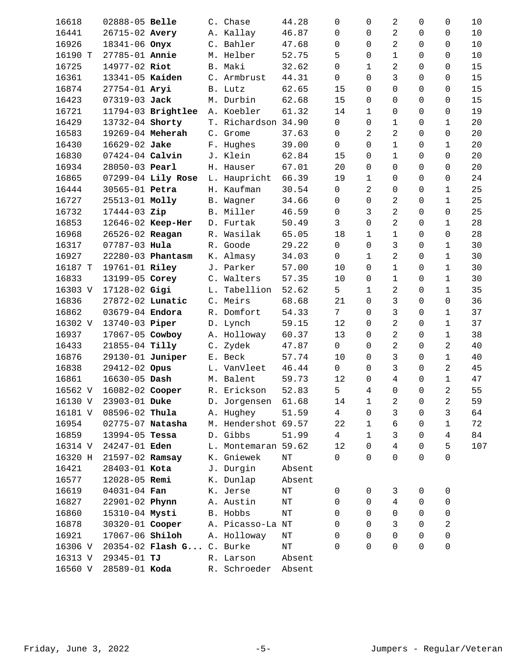| 16618   | 02888-05 Belle          |                               | C. Chase            | 44.28     | 0                   | $\mathbf 0$    | $\overline{a}$ | 0              | 0              | 10   |
|---------|-------------------------|-------------------------------|---------------------|-----------|---------------------|----------------|----------------|----------------|----------------|------|
| 16441   | 26715-02 Avery          |                               | A. Kallay           | 46.87     | 0                   | $\Omega$       | $\overline{2}$ | 0              | 0              | $10$ |
| 16926   | 18341-06 Onyx           |                               | C. Bahler           | 47.68     | 0                   | $\Omega$       | 2              | $\Omega$       | $\Omega$       | $10$ |
| 16190 T | 27785-01 Annie          |                               | M. Helber           | 52.75     | 5                   | $\mathsf{O}$   | $\mathbf{1}$   | 0              | 0              | $10$ |
| 16725   | 14977-02 Riot           |                               | B. Maki             | 32.62     | 0                   | $\mathbf 1$    | 2              | 0              | 0              | 15   |
| 16361   | 13341-05 Kaiden         |                               | C. Armbrust         | 44.31     | 0                   | $\Omega$       | 3              | $\Omega$       | 0              | 15   |
| 16874   | 27754-01 Aryi           |                               | B. Lutz             | 62.65     | 15                  | $\Omega$       | $\Omega$       | $\Omega$       | 0              | 15   |
| 16423   | 07319-03 Jack           |                               | M. Durbin           | 62.68     | 15                  | $\Omega$       | $\Omega$       | 0              | $\overline{0}$ | 15   |
| 16721   |                         | 11794-03 Brightlee A. Koebler |                     | 61.32     | 14                  | $\mathbf{1}$   | $\Omega$       | $\Omega$       | 0              | 19   |
| 16429   | 13732-04 Shorty         |                               | T. Richardson 34.90 |           | $\mathsf{O}$        | $\Omega$       | $\mathbf{1}$   | $\Omega$       | $\mathbf 1$    | 20   |
| 16583   | 19269-04 Meherah        |                               | C. Grome            | 37.63     | $\mathsf{O}\xspace$ | 2              | 2              | $\Omega$       | 0              | 20   |
| 16430   | 16629-02 Jake           |                               | F. Hughes           | 39.00     | $\mathsf{O}$        | $\mathbf 0$    | $\mathbf{1}$   | 0              | $\mathbf{1}$   | 20   |
| 16830   | $07424 - 04$ Calvin     |                               | J. Klein            | 62.84     | 15                  | $\mathsf{O}$   | $\mathbf{1}$   | 0              | 0              | 20   |
| 16934   | 28050-03 Pearl          |                               | H. Hauser           | 67.01     | 20                  | $\Omega$       | $\Omega$       | $\Omega$       | 0              | 20   |
| 16865   |                         | 07299-04 Lily Rose            | L. Haupricht        | 66.39     | 19                  | $\mathbf 1$    | $\Omega$       | $\Omega$       | 0              | 24   |
| 16444   | 30565-01 Petra          |                               | H. Kaufman          | 30.54     | $\mathsf{O}\xspace$ | 2              | $\Omega$       | $\Omega$       | $\mathbf{1}$   | 25   |
| 16727   | 25513-01 Molly          |                               | B. Wagner           | 34.66     | $\mathsf{O}$        | $\mathsf{O}$   | $\overline{a}$ | 0              | $\mathbf{1}$   | 25   |
| 16732   | 17444-03 Zip            |                               | B. Miller           | 46.59     | $\mathsf{O}$        | 3              | $\overline{2}$ | $\Omega$       | $\mathbf 0$    | 25   |
| 16853   |                         | 12646-02 Keep-Her             | D. Furtak           | 50.49     | 3                   | $\mathbf 0$    | $\overline{a}$ | $\Omega$       | $\mathbf{1}$   | 28   |
| 16968   | 26526-02 Reagan         |                               | R. Wasilak          | 65.05     | 18                  | $\mathbf 1$    | $\mathbf{1}$   | $\Omega$       | 0              | 28   |
| 16317   | 07787-03 Hula           |                               | R. Goode            | 29.22     | $\overline{0}$      | $\mathbf 0$    | 3              | 0              | $\mathbf{1}$   | 30   |
| 16927   |                         | 22280-03 Phantasm             | K. Almasy           | 34.03     | $\mathbf 0$         | $\mathbf 1$    | $\overline{2}$ | $\Omega$       | $\mathbf{1}$   | 30   |
| 16187 T | 19761-01 Riley          |                               | J. Parker           | 57.00     | 10                  | $\Omega$       | $\mathbf 1$    | 0              | $\mathbf{1}$   | 30   |
| 16833   | 13199-05 Corey          |                               | C. Walters          | 57.35     | 10                  | $\Omega$       | $\mathbf{1}$   | $\Omega$       | $\mathbf{1}$   | 30   |
| 16303 V | 17128-02 Gigi           |                               | L. Tabellion        | 52.62     | 5                   | $\mathbf 1$    | $\overline{2}$ | 0              | $\mathbf{1}$   | 35   |
| 16836   | 27872-02 Lunatic        |                               | C. Meirs            | 68.68     | 21                  | $\Omega$       | $\overline{3}$ | $\Omega$       | $\mathbf 0$    | 36   |
| 16862   | 03679-04 Endora         |                               | R. Domfort          | 54.33     | 7 <sup>1</sup>      | $\Omega$       | 3              | $\Omega$       | $\mathbf{1}$   | 37   |
| 16302 V | 13740-03 Piper          |                               | D. Lynch            | 59.15     | 12                  | $\Omega$       | 2              | $\Omega$       | $\mathbf{1}$   | 37   |
| 16937   | 17067-05 Cowboy         |                               | A. Holloway         | 60.37     | 13                  | $\Omega$       | $\overline{2}$ | 0              | $\mathbf{1}$   | 38   |
| 16433   | 21855-04 Tilly          |                               | C. Zydek            | 47.87     | 0                   | $\Omega$       | $\overline{a}$ | $\Omega$       | 2              | 40   |
| 16876   | 29130-01 Juniper        |                               | E. Beck             | 57.74     | 10                  | $\Omega$       | 3              | $\Omega$       | $\mathbf{1}$   | 40   |
| 16838   | 29412-02 Opus           |                               | L. VanVleet         | 46.44     | $\mathsf{O}$        | $\Omega$       | 3              | $\Omega$       | 2              | 45   |
| 16861   | $16630 - 05$ Dash       |                               | M. Balent           | 59.73     | 12                  | $\Omega$       | $\overline{4}$ | 0              | $\mathbf 1$    | 47   |
|         | 16562 V 16082-02 Cooper |                               | R. Erickson         | 52.83     | 5                   | $\overline{4}$ | $\overline{0}$ | $\overline{0}$ | $\overline{2}$ | 55   |
| 16130 V | 23903-01 Duke           |                               | D. Jorgensen        | 61.68     | 14                  | 1              | 2              | 0              | 2              | 59   |
| 16181 V | 08596-02 Thula          |                               | A. Hughey           | 51.59     | $\overline{4}$      | $\Omega$       | 3              | $\Omega$       | 3              | 64   |
| 16954   | 02775-07 Natasha        |                               | M. Hendershot 69.57 |           | 22                  | $\mathbf{1}$   | 6              | $\Omega$       | 1              | 72   |
| 16859   | 13994-05 Tessa          |                               | D. Gibbs            | 51.99     | $\overline{4}$      | $\mathbf{1}$   | 3              | $\Omega$       | 4              | 84   |
| 16314 V | 24247-01 Eden           |                               | L. Montemaran 59.62 |           | 12                  | $\Omega$       | 4              | 0              | 5              | 107  |
| 16320 H | 21597-02 Ramsay         |                               | K. Gniewek          | NΤ        | 0                   | $\Omega$       | $\Omega$       | $\Omega$       | 0              |      |
| 16421   | 28403-01 Kota           |                               | J. Durgin           | Absent    |                     |                |                |                |                |      |
| 16577   | 12028-05 Remi           |                               | K. Dunlap           | Absent    |                     |                |                |                |                |      |
| 16619   | 04031-04 Fan            |                               | K. Jerse            | $\rm{NT}$ | 0                   | 0              | 3              | 0              | 0              |      |
| 16827   | 22901-02 Phynn          |                               | A. Austin           | $\rm{NT}$ | 0                   | $\mathbf 0$    | $\overline{4}$ | 0              | 0              |      |
| 16860   | 15310-04 Mysti          |                               | B. Hobbs            | NΤ        | 0                   | $\Omega$       | $\Omega$       | $\Omega$       | 0              |      |
| 16878   | 30320-01 Cooper         |                               | A. Picasso-La NT    |           | 0                   | $\Omega$       | 3              | $\Omega$       | 2              |      |
| 16921   | 17067-06 Shiloh         |                               | A. Holloway         | ΝT        | 0                   | $\Omega$       | $\Omega$       | $\Omega$       | $\mathbf 0$    |      |
| 16306 V |                         | 20354-02 Flash G C. Burke     |                     | ΝT        | 0                   | $\Omega$       | $\Omega$       | $\Omega$       | 0              |      |
| 16313 V | $29345 - 01$ TJ         |                               | R. Larson           | Absent    |                     |                |                |                |                |      |
| 16560 V | 28589-01 Koda           |                               | R. Schroeder        | Absent    |                     |                |                |                |                |      |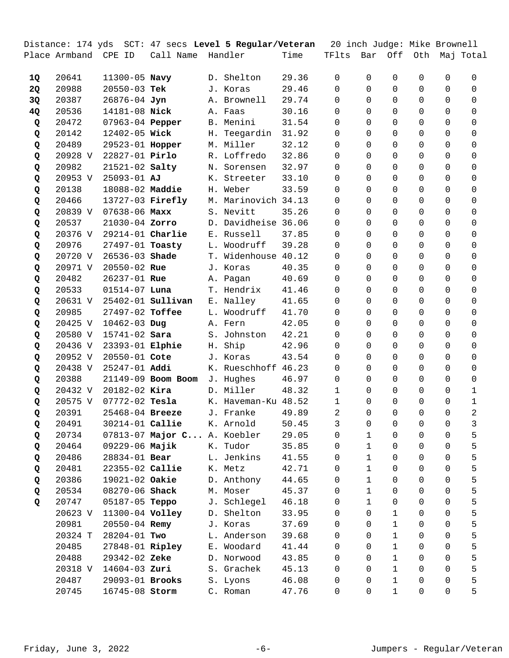|    |                      |                         |                             |    | Distance: 174 yds  SCT: 47 secs <b>Level 5 Regular/Veteran</b> |       | 20 inch Judge: Mike Brownell |              |              |             |          |             |
|----|----------------------|-------------------------|-----------------------------|----|----------------------------------------------------------------|-------|------------------------------|--------------|--------------|-------------|----------|-------------|
|    | Place Armband CPE ID |                         | Call Name                   |    | Handler                                                        | Time  | TFlts                        | Bar          | Off          | Oth         |          | Maj Total   |
|    |                      |                         |                             |    |                                                                |       |                              |              |              |             |          |             |
| 1Q | 20641                | 11300-05 Navy           |                             |    | D. Shelton                                                     | 29.36 | 0                            | $\Omega$     | $\Omega$     | 0           | 0        | 0           |
| 2Q | 20988                | 20550-03 Tek            |                             |    | J. Koras                                                       | 29.46 | $\Omega$                     | $\Omega$     | $\Omega$     | 0           | 0        | 0           |
| 3Q | 20387                | 26876-04 Jyn            |                             |    | A. Brownell                                                    | 29.74 | $\Omega$                     | $\Omega$     | $\Omega$     | 0           | 0        | $\Omega$    |
| 4Q | 20536                | 14181-08 Nick           |                             |    | A. Faas                                                        | 30.16 | $\Omega$                     | $\Omega$     | $\Omega$     | 0           | 0        | 0           |
| Q  | 20472                | 07963-04 Pepper         |                             |    | B. Menini                                                      | 31.54 | 0                            | $\Omega$     | $\Omega$     | 0           | 0        | 0           |
| Q  | 20142                | 12402-05 Wick           |                             | Н. | Teegardin                                                      | 31.92 | $\Omega$                     | $\Omega$     | $\Omega$     | 0           | 0        | 0           |
| Q  | 20489                | 29523-01 Hopper         |                             |    | M. Miller                                                      | 32.12 | $\Omega$                     | $\Omega$     | $\Omega$     | 0           | 0        | 0           |
| Q  | 20928 V              | 22827-01 Pirlo          |                             |    | R. Loffredo                                                    | 32.86 | 0                            | $\Omega$     | 0            | 0           | 0        | 0           |
| Q  | 20982                | 21521-02 Salty          |                             |    | N. Sorensen                                                    | 32.97 | 0                            | $\Omega$     | 0            | 0           | 0        | 0           |
| Q  | 20953 V              | 25093-01 AJ             |                             | К. | Streeter                                                       | 33.10 | 0                            | $\Omega$     | 0            | 0           | 0        | 0           |
| Q  | 20138                | 18088-02 Maddie         |                             |    | H. Weber                                                       | 33.59 | $\Omega$                     | $\Omega$     | 0            | 0           | 0        | 0           |
| Q  | 20466                | 13727-03 <b>Firefly</b> |                             |    | M. Marinovich 34.13                                            |       | 0                            | $\Omega$     | $\mathbf 0$  | 0           | 0        | 0           |
| Q  | 20839 V              | $07638 - 06$ Maxx       |                             |    | S. Nevitt                                                      | 35.26 | $\Omega$                     | 0            | $\Omega$     | 0           | 0        | 0           |
| Q  | 20537                | 21030-04 Zorro          |                             |    | D. Davidheise 36.06                                            |       | 0                            | $\Omega$     | $\Omega$     | 0           | 0        | 0           |
| Q  | 20376 V              | $29214-01$ Charlie      |                             |    | E. Russell                                                     | 37.85 | 0                            | $\Omega$     | $\Omega$     | 0           | $\Omega$ | 0           |
| Q  | 20976                | 27497-01 Toasty         |                             |    | L. Woodruff                                                    | 39.28 | 0                            | $\Omega$     | 0            | 0           | 0        | 0           |
| Q  | 20720 V              | 26536-03 Shade          |                             |    | T. Widenhouse 40.12                                            |       | 0                            | $\Omega$     | $\Omega$     | 0           | 0        | 0           |
| Q  | 20971 V              | 20550-02 Rue            |                             |    | J. Koras                                                       | 40.35 | 0                            | $\Omega$     | $\Omega$     | 0           | 0        | 0           |
| Q  | 20482                | 26237-01 Rue            |                             |    | A. Pagan                                                       | 40.69 | 0                            | $\Omega$     | $\Omega$     | 0           | $\Omega$ | 0           |
| Q  | 20533                | $01514 - 07$ Luna       |                             |    | T. Hendrix                                                     | 41.46 | $\Omega$                     | $\Omega$     | $\mathbf 0$  | 0           | 0        | 0           |
| Q  | 20631 V              |                         | 25402-01 <b>Sullivan</b>    |    | E. Nalley                                                      | 41.65 | $\Omega$                     | $\Omega$     | $\Omega$     | 0           | 0        | 0           |
| Q  | 20985                | 27497-02 Toffee         |                             |    | L. Woodruff                                                    | 41.70 | $\Omega$                     | $\Omega$     | $\Omega$     | 0           | 0        | 0           |
| Q  | 20425 V              | $10462 - 03$ Dug        |                             |    | A. Fern                                                        | 42.05 | $\Omega$                     | $\Omega$     | $\Omega$     | 0           | 0        | 0           |
| Q  | 20580 V              | 15741-02 Sara           |                             |    | S. Johnston                                                    | 42.21 | $\Omega$                     | $\Omega$     | $\Omega$     | 0           | 0        | 0           |
| Q  | 20436 V              | 23393-01 Elphie         |                             | Η. | Ship                                                           | 42.96 | 0                            | $\Omega$     | $\Omega$     | 0           | 0        | 0           |
| Q  | 20952 V              | 20550-01 Cote           |                             |    | J. Koras                                                       | 43.54 | 0                            | $\Omega$     | $\Omega$     | 0           | 0        | 0           |
| Q  | 20438 V              | 25247-01 Addi           |                             |    | K. Rueschhoff 46.23                                            |       | 0                            | $\Omega$     | $\Omega$     | 0           | 0        | 0           |
| Q  | 20388                |                         | 21149-09 Boom Boom          |    | J. Hughes                                                      | 46.97 | $\Omega$                     | $\Omega$     | $\Omega$     | $\mathbf 0$ | $\Omega$ | 0           |
| Q  | 20432 V              | $20182 - 02$ Kira       |                             |    | D. Miller                                                      | 48.32 | 1                            | $\Omega$     | $\mathbf 0$  | 0           | 0        | 1           |
| Q  | 20575 V              | 07772-02 Tesla          |                             |    | K. Haveman-Ku 48.52                                            |       | 1                            | $\Omega$     | $\Omega$     | $\Omega$    | 0        | $\mathbf 1$ |
| Q  | 20391                | 25468-04 Breeze         |                             |    | J. Franke                                                      | 49.89 | 2                            | 0            | $\mathbf 0$  | 0           | 0        | 2           |
| Q  | 20491                | 30214-01 Callie         |                             |    | K. Arnold                                                      | 50.45 | 3                            | 0            | 0            | 0           | 0        | 3           |
| Q  | 20734                |                         | 07813-07 Major C A. Koebler |    |                                                                | 29.05 | 0                            | $\mathbf 1$  | $\mathbf 0$  | 0           | 0        | 5           |
| Q  | 20464                | 09229-06 Majik          |                             |    | K. Tudor                                                       | 35.85 | 0                            | $\mathbf 1$  | 0            | 0           | 0        | 5           |
| Q  | 20486                | 28834-01 Bear           |                             |    | L. Jenkins                                                     | 41.55 | 0                            | $\mathbf{1}$ | 0            | 0           | 0        | 5           |
| Q  | 20481                | 22355-02 Callie         |                             |    | K. Metz                                                        | 42.71 | 0                            | $\mathbf{1}$ | 0            | 0           | 0        | 5           |
| Q  | 20386                | 19021-02 Oakie          |                             |    | D. Anthony                                                     | 44.65 | 0                            | $\mathbf 1$  | 0            | 0           | 0        | 5           |
| Q  | 20534                | 08270-06 Shack          |                             |    | M. Moser                                                       | 45.37 | 0                            | $\mathbf{1}$ | 0            | 0           | 0        | 5           |
| Q  | 20747                | 05187-05 Teppo          |                             |    | J. Schlegel                                                    | 46.18 | 0                            | $\mathbf{1}$ | 0            | 0           | 0        | 5           |
|    | 20623 V              | 11300-04 Volley         |                             |    | D. Shelton                                                     | 33.95 | 0                            | 0            | 1            | 0           | 0        | 5           |
|    | 20981                | 20550-04 Remy           |                             |    | J. Koras                                                       | 37.69 | 0                            | $\Omega$     | $\mathbf{1}$ | 0           | 0        | 5           |
|    | 20324 T              | 28204-01 Two            |                             |    | L. Anderson                                                    | 39.68 | 0                            | 0            | $\mathbf{1}$ | 0           | 0        | 5           |
|    | 20485                | 27848-01 Ripley         |                             |    | E. Woodard                                                     | 41.44 | 0                            | $\Omega$     | $\mathbf{1}$ | 0           | 0        | 5           |
|    | 20488                | 29342-02 Zeke           |                             |    | D. Norwood                                                     | 43.85 | 0                            | 0            | 1            | 0           | 0        | 5           |
|    | 20318 V              | $14604-03$ Zuri         |                             |    | S. Grachek                                                     | 45.13 | 0                            | $\Omega$     | $\mathbf{1}$ | 0           | 0        | 5           |
|    | 20487                | 29093-01 Brooks         |                             |    | S. Lyons                                                       | 46.08 | 0                            | 0            | 1            | 0           | 0        | 5           |
|    | 20745                | 16745-08 Storm          |                             |    | C. Roman                                                       | 47.76 | 0                            | 0            | $\mathbf{1}$ | 0           | 0        | 5           |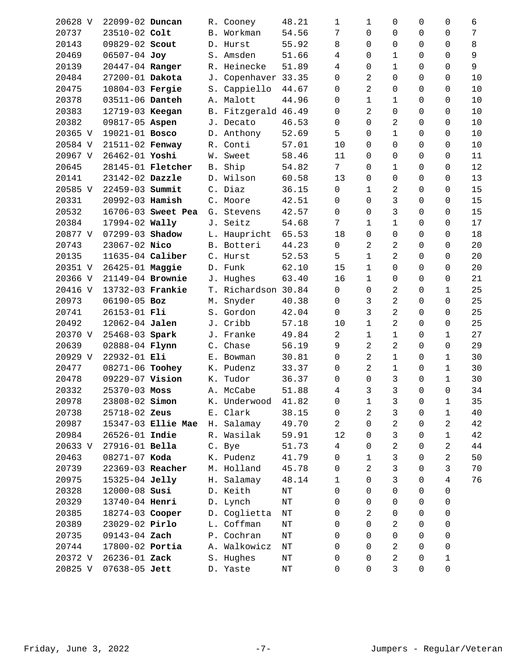| 20628 V | 22099-02 Duncan  |                          |            | R. Cooney           | 48.21     | 1               | 1              | 0              | 0 | 0           | 6  |
|---------|------------------|--------------------------|------------|---------------------|-----------|-----------------|----------------|----------------|---|-------------|----|
| 20737   | 23510-02 Colt    |                          |            | B. Workman          | 54.56     | 7               | $\Omega$       | $\mathbf 0$    | 0 | 0           | 7  |
| 20143   | 09829-02 Scout   |                          |            | D. Hurst            | 55.92     | 8               | $\Omega$       | 0              | 0 | 0           | 8  |
| 20469   | 06507-04 Joy     |                          |            | S. Amsden           | 51.66     | 4               | 0              | 1              | 0 | 0           | 9  |
| 20139   | 20447-04 Ranger  |                          |            | R. Heinecke         | 51.89     | 4               | $\Omega$       | 1              | 0 | 0           | 9  |
| 20484   | 27200-01 Dakota  |                          | J.         | Copenhaver 33.35    |           | $\mathbf 0$     | 2              | $\mathbf 0$    | 0 | 0           | 10 |
| 20475   | 10804-03 Fergie  |                          |            | S. Cappiello        | 44.67     | 0               | $\overline{2}$ | 0              | 0 | 0           | 10 |
| 20378   | 03511-06 Danteh  |                          |            | A. Malott           | 44.96     | 0               | $\mathbf 1$    | $1\,$          | 0 | 0           | 10 |
| 20383   | 12719-03 Keegan  |                          |            | B. Fitzgerald 46.49 |           | 0               | 2              | $\mathbf 0$    | 0 | 0           | 10 |
| 20382   | 09817-05 Aspen   |                          |            | J. Decato           | 46.53     | 0               | $\Omega$       | 2              | 0 | 0           | 10 |
| 20365 V | 19021-01 Bosco   |                          |            | D. Anthony          | 52.69     | 5               | $\Omega$       | 1              | 0 | 0           | 10 |
| 20584 V | 21511-02 Fenway  |                          |            | R. Conti            | 57.01     | 10              | 0              | 0              | 0 | 0           | 10 |
| 20967 V | 26462-01 Yoshi   |                          |            | W. Sweet            | 58.46     | 11              | 0              | 0              | 0 | 0           | 11 |
| 20645   |                  | 28145-01 <b>Fletcher</b> | <b>B</b> . | Ship                | 54.82     | $7\phantom{.0}$ | $\Omega$       | 1              | 0 | 0           | 12 |
| 20141   | 23142-02 Dazzle  |                          |            | D. Wilson           | 60.58     | 13              | $\Omega$       | $\mathbf 0$    | 0 | 0           | 13 |
| 20585 V | 22459-03 Summit  |                          |            | C. Diaz             | 36.15     | $\mathsf{O}$    | $\mathbf{1}$   | 2              | 0 | 0           | 15 |
| 20331   | 20992-03 Hamish  |                          |            | C. Moore            | 42.51     | $\mathbf 0$     | $\Omega$       | 3              | 0 | 0           | 15 |
| 20532   |                  | 16706-03 Sweet Pea       |            | G. Stevens          | 42.57     | $\Omega$        | $\Omega$       | 3              | 0 | 0           | 15 |
| 20384   | 17994-02 Wally   |                          |            | J. Seitz            | 54.68     | 7               | 1              | 1              | 0 | 0           | 17 |
| 20877 V | 07299-03 Shadow  |                          |            | L. Haupricht        | 65.53     | 18              | 0              | $\mathbf 0$    | 0 | 0           | 18 |
| 20743   | 23067-02 Nico    |                          |            | B. Botteri          | 44.23     | $\mathsf{O}$    | $\overline{2}$ | 2              | 0 | 0           | 20 |
| 20135   | 11635-04 Caliber |                          |            | C. Hurst            | 52.53     | 5               | 1              | 2              | 0 | 0           | 20 |
| 20351 V | 26425-01 Maggie  |                          |            | D. Funk             | 62.10     | 15              | 1              | 0              | 0 | 0           | 20 |
| 20366 V | 21149-04 Brownie |                          |            | J. Hughes           | 63.40     | 16              | $\mathbf 1$    | $\mathbf 0$    | 0 | 0           | 21 |
| 20416 V | 13732-03 Frankie |                          |            | T. Richardson 30.84 |           | $\mathsf{O}$    | 0              | 2              | 0 | 1           | 25 |
| 20973   | 06190-05 Boz     |                          | М.         | Snyder              | 40.38     | $\Omega$        | 3              | $\overline{2}$ | 0 | 0           | 25 |
| 20741   | 26153-01 Fli     |                          |            | S. Gordon           | 42.04     | $\Omega$        | 3              | 2              | 0 | 0           | 25 |
| 20492   | 12062-04 Jalen   |                          |            | J. Cribb            | 57.18     | 10              | $\mathbf 1$    | 2              | 0 | 0           | 25 |
| 20370 V | 25468-03 Spark   |                          |            | J. Franke           | 49.84     | $\overline{a}$  | $\mathbf 1$    | 1              | 0 | $\mathbf 1$ | 27 |
| 20639   | 02888-04 Flynn   |                          |            | C. Chase            | 56.19     | 9               | 2              | 2              | 0 | 0           | 29 |
| 20929 V | 22932-01 Eli     |                          |            | E. Bowman           | 30.81     | $\mathbf 0$     | 2              | 1              | 0 | 1           | 30 |
| 20477   | 08271-06 Toohey  |                          |            | K. Pudenz           | 33.37     | 0               | $\overline{c}$ | $\mathbf 1$    | 0 | 1           | 30 |
| 20478   | 09229-07 Vision  |                          |            | K. Tudor            | 36.37     | 0               | 0              | 3              | 0 | 1           | 30 |
| 20332   | 25370-03 Moss    |                          | Α.         | McCabe              | 51.88     | $\overline{4}$  | $\mathfrak{Z}$ | $\mathbf{3}$   | 0 | $\mathsf 0$ | 34 |
| 20978   | 23808-02 Simon   |                          | К.         | Underwood           | 41.82     | 0               | 1              | 3              | 0 | 1           | 35 |
| 20738   | 25718-02 Zeus    |                          | Ε.         | Clark               | 38.15     | 0               | 2              | 3              | 0 | 1           | 40 |
| 20987   |                  | 15347-03 Ellie Mae       |            | H. Salamay          | 49.70     | $\overline{2}$  | $\Omega$       | 2              | 0 | 2           | 42 |
| 20984   | 26526-01 Indie   |                          |            | R. Wasilak          | 59.91     | 12              | $\Omega$       | 3              | 0 | 1           | 42 |
| 20633 V | 27916-01 Bella   |                          |            | C. Bye              | 51.73     | 4               | $\Omega$       | 2              | 0 | 2           | 44 |
| 20463   | 08271-07 Koda    |                          |            | K. Pudenz           | 41.79     | $\Omega$        | $\mathbf 1$    | 3              | 0 | 2           | 50 |
| 20739   | 22369-03 Reacher |                          |            | M. Holland          | 45.78     | 0               | 2              | 3              | 0 | 3           | 70 |
| 20975   | 15325-04 Jelly   |                          |            | H. Salamay          | 48.14     | $\mathbf{1}$    | $\Omega$       | 3              | 0 | 4           | 76 |
| 20328   | 12000-08 Susi    |                          |            | D. Keith            | $\rm{NT}$ | 0               | $\Omega$       | 0              | 0 | 0           |    |
| 20329   | 13740-04 Henri   |                          |            | D. Lynch            | $\rm{NT}$ | $\Omega$        | $\Omega$       | 0              | 0 | 0           |    |
| 20385   | 18274-03 Cooper  |                          |            | D. Coglietta        | $\rm{NT}$ | 0               | 2              | 0              | 0 | 0           |    |
| 20389   | 23029-02 Pirlo   |                          |            | L. Coffman          | $\rm{NT}$ | 0               | $\Omega$       | 2              | 0 | 0           |    |
| 20735   | 09143-04 Zach    |                          |            | P. Cochran          | $\rm{NT}$ | 0               | $\Omega$       | $\Omega$       | 0 | 0           |    |
| 20744   | 17800-02 Portia  |                          |            | A. Walkowicz        | ΝT        | 0               | $\Omega$       | 2              | 0 | 0           |    |
| 20372 V | 26236-01 Zack    |                          |            | S. Hughes           | ΝT        | 0               | 0              | 2              | 0 | $\mathbf 1$ |    |
| 20825 V | 07638-05 Jett    |                          |            | D. Yaste            | ΝT        | 0               | 0              | $\mathfrak{Z}$ | 0 | 0           |    |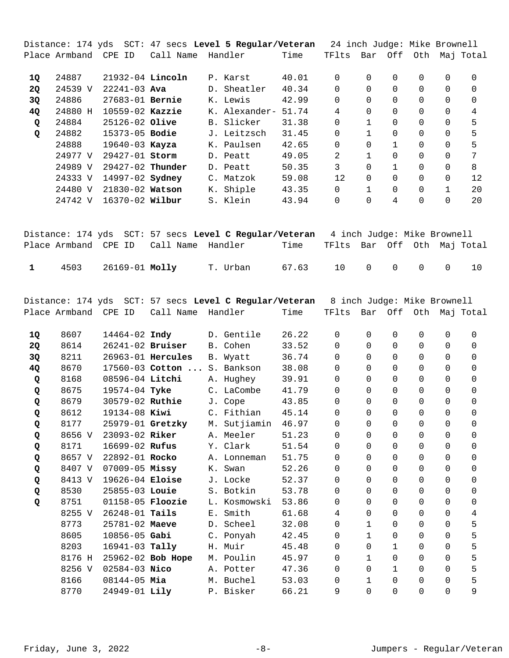|              |                      |                         |                             | Distance: 174 yds  SCT: 47 secs <b>Level 5 Regular/Veteran</b>                     |       | 24 inch Judge: Mike Brownell |                |                |                |                |                       |
|--------------|----------------------|-------------------------|-----------------------------|------------------------------------------------------------------------------------|-------|------------------------------|----------------|----------------|----------------|----------------|-----------------------|
|              | Place Armband CPE ID |                         | Call Name                   | Handler                                                                            | Time  | TFlts                        | Bar            |                | Off Oth        |                | Maj Total             |
| 1Q           | 24887                | 21932-04 Lincoln        |                             | P. Karst                                                                           | 40.01 | 0                            | 0              | 0              | 0              | 0              | 0                     |
| 2Q           | 24539 V              | $22241 - 03$ Ava        |                             | D. Sheatler                                                                        | 40.34 | 0                            | $\mathbf 0$    | 0              | 0              | 0              | 0                     |
| 3Q           | 24886                | 27683-01 Bernie         |                             | K. Lewis                                                                           | 42.99 | 0                            | $\Omega$       | $\Omega$       | 0              | 0              | 0                     |
| 4Q           | 24880 H              | 10559-02 Kazzie         |                             | K. Alexander-                                                                      | 51.74 | 4                            | $\Omega$       | $\Omega$       | 0              | 0              | $\overline{4}$        |
| Q            | 24884                | 25126-02 Olive          |                             | B. Slicker                                                                         | 31.38 | 0                            | $\mathbf 1$    | $\Omega$       | 0              | $\Omega$       | 5                     |
| Q            | 24882                | 15373-05 Bodie          |                             | J. Leitzsch                                                                        | 31.45 | 0                            | $\mathbf{1}$   | 0              | 0              | 0              | 5                     |
|              | 24888                | 19640-03 Kayza          |                             | K. Paulsen                                                                         | 42.65 | 0                            | $\Omega$       | $1\,$          | 0              | 0              | 5                     |
|              | 24977 V              | 29427-01 Storm          |                             | D. Peatt                                                                           | 49.05 | 2                            | $\mathbf{1}$   | $\Omega$       | 0              | 0              | $\overline{7}$        |
|              | 24989 V              | 29427-02 Thunder        |                             | D. Peatt                                                                           | 50.35 | $\mathsf{3}$                 | 0              | $\mathbf{1}$   | 0              | 0              | 8                     |
|              | 24333 V              | 14997-02 <b>Sydney</b>  |                             | C. Matzok                                                                          | 59.08 | 12                           | $\Omega$       | $\Omega$       | 0              | 0              | 12                    |
|              | 24480 V              | 21830-02 Watson         |                             | K. Shiple                                                                          | 43.35 | $\mathbf 0$                  | $\mathbf{1}$   | $\Omega$       | 0              | $\mathbf{1}$   | 20                    |
|              | 24742 V              | 16370-02 Wilbur         |                             | S. Klein                                                                           | 43.94 | $\mathbf 0$                  | $\Omega$       | 4              | 0              | $\Omega$       | 20                    |
|              |                      |                         |                             |                                                                                    |       |                              |                |                |                |                |                       |
|              |                      |                         |                             | Distance: 174 yds SCT: 57 secs Level C Regular/Veteran 4 inch Judge: Mike Brownell |       |                              |                |                |                |                |                       |
|              | Place Armband CPE ID |                         | Call Name                   | Handler                                                                            | Time  | TFlts                        |                |                |                |                | Bar Off Oth Maj Total |
| $\mathbf{1}$ | 4503                 | 26169-01 Molly          |                             | T. Urban                                                                           | 67.63 | 10                           | 0              | $\mathbf 0$    | 0              | 0              | 10                    |
|              |                      |                         |                             |                                                                                    |       |                              |                |                |                |                |                       |
|              |                      |                         |                             | Distance: 174 yds SCT: 57 secs <b>Level C Regular/Veteran</b>                      |       | 8 inch Judge: Mike Brownell  |                |                |                |                |                       |
|              | Place Armband CPE ID |                         | Call Name Handler           |                                                                                    | Time  | TFlts                        |                |                |                |                | Bar Off Oth Maj Total |
| 1Q           | 8607                 | 14464-02 Indy           |                             | D. Gentile                                                                         | 26.22 | 0                            | 0              | 0              | 0              | 0              | 0                     |
| <b>2Q</b>    | 8614                 | 26241-02 Bruiser        |                             | B. Cohen                                                                           | 33.52 | 0                            | $\Omega$       | 0              | 0              | 0              | 0                     |
| 3Q           | 8211                 |                         | 26963-01 Hercules           | B. Wyatt                                                                           | 36.74 | 0                            | $\Omega$       | $\Omega$       | 0              | 0              | $\mathbf 0$           |
| 4Q           | 8670                 |                         | 17560-03 Cotton  S. Bankson |                                                                                    | 38.08 | 0                            | $\Omega$       | $\mathbf 0$    | 0              | 0              | 0                     |
| Q            | 8168                 | 08596-04 Litchi         |                             | A. Hughey                                                                          | 39.91 | $\mathbf 0$                  | $\Omega$       | $\Omega$       | 0              | 0              | 0                     |
| Q            | 8675                 | 19574-04 Tyke           |                             | C. LaCombe                                                                         | 41.79 | $\Omega$                     | $\Omega$       | $\Omega$       | 0              | 0              | 0                     |
| Q            | 8679                 | 30579-02 Ruthie         |                             | J. Cope                                                                            | 43.85 | 0                            | $\Omega$       | $\Omega$       | $\mathbf 0$    | 0              | 0                     |
| Q            | 8612                 | 19134-08 Kiwi           |                             | C. Fithian                                                                         | 45.14 | $\overline{0}$               | $\overline{0}$ | $\overline{0}$ | $\overline{0}$ | $\overline{0}$ | $\mathsf{O}$          |
| Q            | 8177                 | 25979-01 Gretzky        |                             | M. Sutjiamin                                                                       | 46.97 | 0                            | 0              | 0              | 0              | 0              | 0                     |
| Q            | 8656 V               | 23093-02 Riker          |                             | A. Meeler                                                                          | 51.23 | 0                            | $\Omega$       | 0              | 0              | 0              | 0                     |
| Q            | 8171                 | 16699-02 Rufus          |                             | Y. Clark                                                                           | 51.54 | $\Omega$                     | $\Omega$       | 0              | 0              | 0              | 0                     |
| Q            | 8657 V               | 22892-01 Rocko          |                             | A. Lonneman                                                                        | 51.75 | 0                            | $\Omega$       | $\Omega$       | 0              | 0              | 0                     |
| Q            | 8407 V               | 07009-05 Missy          |                             | K. Swan                                                                            | 52.26 | 0                            | $\Omega$       | $\Omega$       | 0              | 0              | 0                     |
| Q            | 8413 V               | 19626-04 Eloise         |                             | J. Locke                                                                           | 52.37 | $\Omega$                     | $\Omega$       | $\Omega$       | 0              | 0              | 0                     |
| Q            | 8530                 | 25855-03 Louie          |                             | S. Botkin                                                                          | 53.78 | $\Omega$                     | $\Omega$       | $\Omega$       | 0              | 0              | 0                     |
| Q            | 8751                 | 01158-05 <b>Floozie</b> |                             | L. Kosmowski                                                                       | 53.86 | 0                            | $\Omega$       | $\Omega$       | 0              | 0              | 0                     |
|              | 8255 V               | 26248-01 Tails          |                             | E. Smith                                                                           | 61.68 | 4                            | $\Omega$       | 0              | 0              | 0              | 4                     |
|              | 8773                 | 25781-02 Maeve          |                             | D. Scheel                                                                          | 32.08 | 0                            | $\mathbf 1$    | 0              | 0              | 0              | 5                     |
|              | 8605                 | $10856 - 05$ Gabi       |                             | C. Ponyah                                                                          | 42.45 | 0                            | $\mathbf{1}$   | 0              | 0              | 0              | 5                     |
|              | 8203                 | 16941-03 Tally          |                             | H. Muir                                                                            | 45.48 | $\Omega$                     | $\Omega$       | $\mathbf{1}$   | 0              | $\Omega$       | 5                     |
|              | 8176 H               |                         | 25962-02 Bob Hope           | M. Poulin                                                                          | 45.97 | 0                            | $\mathbf{1}$   | $\mathbf 0$    | 0              | 0              | 5                     |
|              | 8256 V               | 02584-03 Nico           |                             | A. Potter                                                                          | 47.36 | 0                            | 0              | $\mathbf{1}$   | 0              | $\Omega$       | 5                     |
|              | 8166                 | $08144 - 05$ Mia        |                             | M. Buchel                                                                          | 53.03 | 0                            | 1              | 0              | 0              | 0              | 5                     |
|              | 8770                 | 24949-01 Lily           |                             | P. Bisker                                                                          | 66.21 | 9                            | $\Omega$       | 0              | 0              | 0              | 9                     |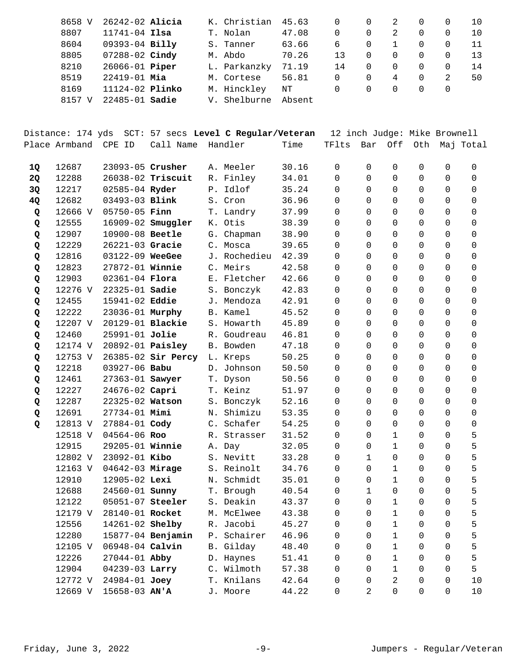| 8658 V | $26242 - 02$ Alicia    |    | K. Christian | 45.63  |    |          | 2 | 0        | 10  |
|--------|------------------------|----|--------------|--------|----|----------|---|----------|-----|
| 8807   | $11741 - 04$ Ilsa      |    | T. Nolan     | 47.08  | 0  | 0        | 2 | 0        | 10  |
| 8604   | 09393-04 Billy         |    | S. Tanner    | 63.66  | 6  | 0        |   | 0        | 11  |
| 8805   | $07288 - 02$ Cindy     |    | M. Abdo      | 70.26  | 13 | 0        |   | 0        | 13  |
| 8210   | 26066-01 <b>Piper</b>  |    | L. Parkanzky | 71.19  | 14 |          |   | 0        | -14 |
| 8519   | $22419 - 01$ Mia       |    | M. Cortese   | 56.81  | 0  | $\Omega$ | 4 | 0        | 50  |
| 8169   | 11124-02 <b>Plinko</b> |    | M. Hinckley  | NΤ     | 0  | $\Omega$ |   | $\Omega$ |     |
| 8157   | $22485 - 01$ Sadie     | V. | Shelburne    | Absent |    |          |   |          |     |

|    |               |                         | Distance: 174 yds SCT: 57 secs Level C Regular/Veteran |              |       | 12 inch Judge: Mike Brownell |              |              |                |                |             |
|----|---------------|-------------------------|--------------------------------------------------------|--------------|-------|------------------------------|--------------|--------------|----------------|----------------|-------------|
|    | Place Armband | CPE ID                  | Call Name                                              | Handler      | Time  | TFlts                        | Bar          |              | Off Oth        |                | Maj Total   |
| 1Q | 12687         | 23093-05 Crusher        |                                                        | A. Meeler    | 30.16 | $\mathbf 0$                  | 0            | 0            | 0              | 0              | 0           |
| 2Q | 12288         |                         | 26038-02 Triscuit                                      | R. Finley    | 34.01 | 0                            | 0            | 0            | 0              | 0              | 0           |
| 3Q | 12217         | 02585-04 Ryder          |                                                        | P. Idlof     | 35.24 | 0                            | $\Omega$     | 0            | 0              | 0              | 0           |
| 4Q | 12682         | 03493-03 Blink          |                                                        | S. Cron      | 36.96 | 0                            | $\Omega$     | 0            | 0              | 0              | 0           |
| Q  | 12666 V       | $05750 - 05$ Finn       |                                                        | T. Landry    | 37.99 | 0                            | $\Omega$     | 0            | 0              | 0              | 0           |
| Q  | 12555         |                         | 16909-02 <b>Smuggler</b>                               | K. Otis      | 38.39 | 0                            | 0            | 0            | 0              | 0              | $\mathbf 0$ |
| Q  | 12907         | 10900-08 Beetle         |                                                        | G. Chapman   | 38.90 | 0                            | $\Omega$     | $\mathbf 0$  | 0              | 0              | 0           |
| Q  | 12229         | 26221-03 Gracie         |                                                        | C. Mosca     | 39.65 | 0                            | $\Omega$     | 0            | 0              | 0              | 0           |
| Q  | 12816         | 03122-09 WeeGee         |                                                        | J. Rochedieu | 42.39 | 0                            | $\Omega$     | 0            | 0              | 0              | 0           |
| Q  | 12823         | 27872-01 Winnie         |                                                        | C. Meirs     | 42.58 | 0                            | 0            | 0            | 0              | 0              | 0           |
| Q  | 12903         | $02361 - 04$ Flora      |                                                        | E. Fletcher  | 42.66 | 0                            | 0            | 0            | 0              | 0              | 0           |
| Q  | 12276 V       | 22325-01 <b>Sadie</b>   |                                                        | S. Bonczyk   | 42.83 | 0                            | $\Omega$     | 0            | 0              | 0              | 0           |
| Q  | 12455         | 15941-02 Eddie          |                                                        | J. Mendoza   | 42.91 | 0                            | $\Omega$     | 0            | 0              | 0              | 0           |
| Q  | 12222         | 23036-01 Murphy         |                                                        | B. Kamel     | 45.52 | 0                            | $\Omega$     | 0            | 0              | 0              | 0           |
| Q  | 12207 V       | 20129-01 <b>Blackie</b> |                                                        | S. Howarth   | 45.89 | 0                            | $\Omega$     | 0            | 0              | 0              | 0           |
| Q  | 12460         | 25991-01 Jolie          |                                                        | R. Goudreau  | 46.81 | 0                            | $\Omega$     | $\Omega$     | 0              | 0              | 0           |
| Q  | 12174 V       | 20892-01 <b>Paisley</b> |                                                        | B. Bowden    | 47.18 | 0                            | $\Omega$     | 0            | 0              | 0              | 0           |
| Q  | 12753 V       |                         | 26385-02 Sir Percy                                     | L. Kreps     | 50.25 | 0                            | $\Omega$     | 0            | 0              | 0              | 0           |
| Q  | 12218         | 03927-06 Babu           |                                                        | D. Johnson   | 50.50 | 0                            | 0            | 0            | 0              | 0              | 0           |
| Q  | 12461         |                         | 27363-01 Sawyer                                        | T. Dyson     | 50.56 | 0                            | $\Omega$     | 0            | 0              | 0              | 0           |
| Q  | 12227         | 24676-02 Capri          |                                                        | T. Keinz     | 51.97 | 0                            | $\Omega$     | 0            | 0              | 0              | 0           |
| Q  | 12287         | 22325-02 Watson         |                                                        | S. Bonczyk   | 52.16 | 0                            | $\Omega$     | 0            | 0              | 0              | 0           |
| Q  | 12691         | 27734-01 Mimi           |                                                        | N. Shimizu   | 53.35 | 0                            | 0            | $\mathbf 0$  | 0              | 0              | 0           |
| Q  | 12813 V       | 27884-01 Cody           |                                                        | C. Schafer   | 54.25 | 0                            | $\Omega$     | 0            | 0              | 0              | 0           |
|    | 12518 V       | 04564-06 Roo            |                                                        | R. Strasser  | 31.52 | 0                            | $\Omega$     | 1            | 0              | 0              | 5           |
|    | 12915         | 29205-01 Winnie         |                                                        | A. Day       | 32.05 | 0                            | $\Omega$     | $\mathbf{1}$ | 0              | 0              | 5           |
|    | 12802 V       | 23092-01 Kibo           |                                                        | S. Nevitt    | 33.28 | 0                            | 1            | 0            | 0              | 0              | 5           |
|    | 12163 V       | 04642-03 Mirage         |                                                        | S. Reinolt   | 34.76 | 0                            | $\Omega$     | $\mathbf{1}$ | 0              | 0              | 5           |
|    | 12910         | 12905-02 Lexi           |                                                        | N. Schmidt   | 35.01 | 0                            | 0            | $\mathbf{1}$ | 0              | 0              | 5           |
|    | 12688         | 24560-01 <b>Sunny</b>   |                                                        | T. Brough    | 40.54 | 0                            | $\mathbf{1}$ | $\mathbf 0$  | 0              | 0              | 5           |
|    | 12122         |                         | 05051-07 Steeler                                       | S. Deakin    | 43.37 | $\overline{0}$               | $\mathsf{O}$ | 1            | $\overline{0}$ | $\overline{0}$ | 5           |
|    | 12179 V       | 28140-01 Rocket         |                                                        | M. McElwee   | 43.38 | 0                            | 0            | 1            | 0              | 0              | 5           |
|    | 12556         | 14261-02 Shelby         |                                                        | R. Jacobi    | 45.27 | 0                            | 0            | $\mathbf 1$  | 0              | 0              | 5           |
|    | 12280         |                         | 15877-04 Benjamin                                      | P. Schairer  | 46.96 | 0                            | 0            | 1            | 0              | 0              | 5           |
|    | 12105 V       | 06948-04 Calvin         |                                                        | B. Gilday    | 48.40 | 0                            | 0            | $\mathbf 1$  | 0              | 0              | 5           |
|    | 12226         | 27044-01 Abby           |                                                        | D. Haynes    | 51.41 | 0                            | 0            | 1            | 0              | 0              | 5           |
|    | 12904         | 04239-03 Larry          |                                                        | C. Wilmoth   | 57.38 | 0                            | 0            | $\mathbf 1$  | 0              | 0              | 5           |
|    | 12772 V       | 24984-01 Joey           |                                                        | T. Knilans   | 42.64 | 0                            | 0            | 2            | 0              | 0              | 10          |
|    | 12669 V       | 15658-03 AN'A           |                                                        | J. Moore     | 44.22 | 0                            | 2            | 0            | 0              | 0              | 10          |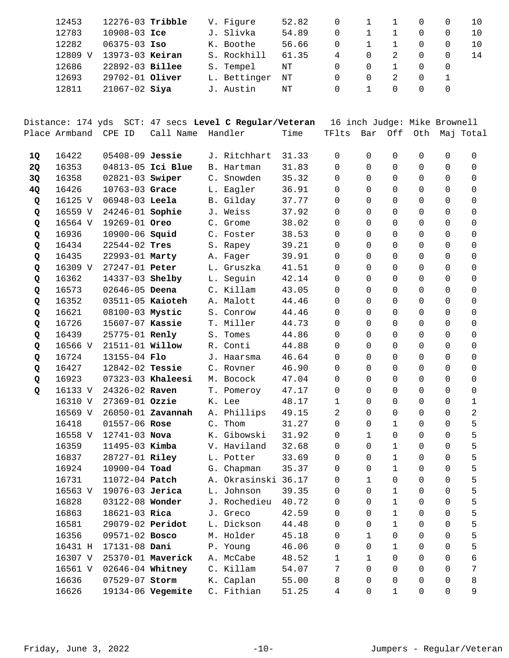| 12453   | $12276-03$ Tribble |  | V. Figure    | 52.82 |   |          |              |                  |  |
|---------|--------------------|--|--------------|-------|---|----------|--------------|------------------|--|
| 12783   | $10908 - 03$ Ice   |  | J. Slivka    | 54.89 | 0 |          |              |                  |  |
| 12282   | $06375 - 03$ Iso   |  | K. Boothe    | 56.66 | 0 |          | $\mathbf{1}$ | $\Omega$         |  |
| 12809 V | 13973-03 Keiran    |  | S. Rockhill  | 61.35 | 4 | $\Omega$ |              |                  |  |
| 12686   | 22892-03 Billee    |  | S. Tempel    | NΤ    |   | $\Omega$ |              | $\left( \right)$ |  |
| 12693   | 29702-01 Oliver    |  | L. Bettinger | NΤ    |   |          |              |                  |  |
| 12811   | $21067 - 02$ Siya  |  | J. Austin    | NΤ    |   |          |              |                  |  |

|    | Distance: 174 yds |                         |                   | SCT: 47 secs Level C Regular/Veteran |       | 16 inch Judge: Mike Brownell |                |              |                |                |                |
|----|-------------------|-------------------------|-------------------|--------------------------------------|-------|------------------------------|----------------|--------------|----------------|----------------|----------------|
|    | Place Armband     | CPE ID                  | Call Name         | Handler                              | Time  | TFlts                        | Bar            |              | Off Oth        |                | Maj Total      |
| 1Q | 16422             | 05408-09 Jessie         |                   | J. Ritchhart                         | 31.33 | 0                            | 0              | $\mathbf 0$  | 0              | $\mathbf 0$    | 0              |
| 2Q | 16353             |                         | 04813-05 Ici Blue | B. Hartman                           | 31.83 | $\mathbf 0$                  | $\mathbf 0$    | 0            | $\mathbf 0$    | 0              | $\mathbf 0$    |
| 3Q | 16358             | 02821-03 Swiper         |                   | C. Snowden                           | 35.32 | 0                            | $\Omega$       | 0            | $\mathbf 0$    | 0              | $\mathbf 0$    |
| 4Q | 16426             | 10763-03 Grace          |                   | L. Eagler                            | 36.91 | 0                            | $\Omega$       | 0            | $\mathbf 0$    | 0              | $\Omega$       |
| Q  | 16125 V           | 06948-03 Leela          |                   | B. Gilday                            | 37.77 | 0                            | $\Omega$       | 0            | $\mathbf 0$    | $\Omega$       | 0              |
| Q  | 16559 V           | 24246-01 Sophie         |                   | J. Weiss                             | 37.92 | 0                            | $\mathbf 0$    | $\mathbf 0$  | $\mathbf 0$    | 0              | $\mathbf 0$    |
| Q  | 16564 V           | 19269-01 Oreo           |                   | C. Grome                             | 38.02 | 0                            | $\Omega$       | $\mathbf 0$  | $\mathbf 0$    | $\Omega$       | $\mathbf 0$    |
| Q  | 16936             | 10900-06 <b>Squid</b>   |                   | C. Foster                            | 38.53 | 0                            | $\Omega$       | 0            | $\mathbf 0$    | $\Omega$       | $\Omega$       |
| Q  | 16434             | $22544 - 02$ Tres       |                   | S. Rapey                             | 39.21 | 0                            | $\Omega$       | 0            | $\mathbf 0$    | $\Omega$       | $\Omega$       |
| Q  | 16435             | 22993-01 Marty          |                   | A. Fager                             | 39.91 | 0                            | $\mathbf 0$    | 0            | $\mathbf 0$    | 0              | 0              |
| Q  | 16309 V           | 27247-01 Peter          |                   | L. Gruszka                           | 41.51 | 0                            | 0              | 0            | $\mathbf 0$    | 0              | 0              |
| Q  | 16362             | 14337-03 <b>Shelby</b>  |                   | L. Seguin                            | 42.14 | 0                            | $\Omega$       | 0            | $\mathbf 0$    | 0              | $\Omega$       |
| Q  | 16573             | 02646-05 Deena          |                   | C. Killam                            | 43.05 | 0                            | 0              | 0            | $\mathbf 0$    | $\Omega$       | 0              |
| Q  | 16352             | $03511-05$ Kaioteh      |                   | A. Malott                            | 44.46 | 0                            | $\Omega$       | 0            | $\mathbf 0$    | $\Omega$       | 0              |
| Q  | 16621             | 08100-03 Mystic         |                   | S. Conrow                            | 44.46 | 0                            | $\mathbf 0$    | $\mathbf 0$  | $\mathbf 0$    | $\Omega$       | $\mathbf 0$    |
| Q  | 16726             | 15607-07 Kassie         |                   | T. Miller                            | 44.73 | 0                            | $\Omega$       | 0            | $\mathbf 0$    | $\Omega$       | $\Omega$       |
| Q  | 16439             | 25775-01 Renly          |                   | S. Tomes                             | 44.86 | 0                            | $\Omega$       | 0            | 0              | $\Omega$       | $\Omega$       |
| Q  | 16566 V           | 21511-01 Willow         |                   | R. Conti                             | 44.88 | 0                            | $\mathbf 0$    | 0            | $\mathbf 0$    | $\Omega$       | $\mathbf 0$    |
| Q  | 16724             | 13155-04 Flo            |                   | J. Haarsma                           | 46.64 | 0                            | $\mathbf 0$    | 0            | $\mathbf 0$    | 0              | $\mathbf 0$    |
| Q  | 16427             | 12842-02 Tessie         |                   | C. Rovner                            | 46.90 | 0                            | $\Omega$       | 0            | $\mathbf 0$    | $\Omega$       | 0              |
| Q  | 16923             |                         | 07323-03 Khaleesi | M. Bocock                            | 47.04 | 0                            | 0              | 0            | 0              | $\Omega$       | 0              |
| Q  | 16133 V           | 24326-02 Raven          |                   | T. Pomeroy                           | 47.17 | $\mathbf 0$                  | $\Omega$       | $\mathbf 0$  | $\mathbf 0$    | $\Omega$       | 0              |
|    | 16310 V           | 27369-01 Ozzie          |                   | K. Lee                               | 48.17 | $\mathbf{1}$                 | $\mathbf 0$    | $\mathbf 0$  | $\mathbf 0$    | 0              | $\mathbf{1}$   |
|    | 16569 V           |                         | 26050-01 Zavannah | A. Phillips                          | 49.15 | 2                            | $\Omega$       | 0            | $\mathbf 0$    | $\Omega$       | $\overline{2}$ |
|    | 16418             | 01557-06 Rose           |                   | C. Thom                              | 31.27 | $\mathbf 0$                  | 0              | $\mathbf{1}$ | 0              | $\Omega$       | 5              |
|    | 16558 V           | 12741-03 Nova           |                   | K. Gibowski                          | 31.92 | 0                            | 1              | 0            | $\mathbf 0$    | $\Omega$       | 5              |
|    | 16359             | 11495-03 Kimba          |                   | V. Haviland                          | 32.68 | 0                            | $\mathbf 0$    | $\mathbf{1}$ | $\mathbf 0$    | 0              | 5              |
|    | 16837             | 28727-01 Riley          |                   | L. Potter                            | 33.69 | 0                            | 0              | $\mathbf{1}$ | $\mathbf 0$    | $\Omega$       | 5              |
|    | 16924             | 10900-04 Toad           |                   | G. Chapman                           | 35.37 | 0                            | 0              | $\mathbf{1}$ | $\mathbf 0$    | $\Omega$       | 5              |
|    | 16731             | 11072-04 Patch          |                   | A. Okrasinski 36.17                  |       | 0                            | $\mathbf 1$    | $\mathbf 0$  | $\mathbf 0$    | 0              | 5              |
|    |                   | 16563 V 19076-03 Jerica |                   | L. Johnson                           | 39.35 | $\overline{0}$               | $\overline{0}$ | $\mathbf{1}$ | $\overline{0}$ | $\overline{0}$ | 5              |
|    | 16828             | 03122-08 Wonder         |                   | J. Rochedieu                         | 40.72 | 0                            | 0              | 1            | 0              | 0              | 5              |
|    | 16863             | 18621-03 Rica           |                   | J. Greco                             | 42.59 | 0                            | $\Omega$       | $\mathbf{1}$ | 0              | 0              | 5              |
|    | 16581             | 29079-02 Peridot        |                   | L. Dickson                           | 44.48 | $\Omega$                     | $\Omega$       | $\mathbf{1}$ | 0              | $\Omega$       | 5              |
|    | 16356             | 09571-02 Bosco          |                   | M. Holder                            | 45.18 | 0                            | $\mathbf{1}$   | 0            | 0              | 0              | 5              |
|    | 16431 H           | 17131-08 Dani           |                   | P. Young                             | 46.06 | 0                            | 0              | $\mathbf{1}$ | 0              | 0              | 5              |
|    | 16307 V           |                         | 25370-01 Maverick | A. McCabe                            | 48.52 | 1                            | $\mathbf{1}$   | 0            | 0              | 0              | 6              |
|    | 16561 V           | 02646-04 Whitney        |                   | C. Killam                            | 54.07 | 7                            | $\Omega$       | 0            | 0              | $\Omega$       | 7              |
|    | 16636             | 07529-07 Storm          |                   | K. Caplan                            | 55.00 | 8                            | 0              | 0            | 0              | 0              | 8              |
|    | 16626             |                         | 19134-06 Vegemite | C. Fithian                           | 51.25 | 4                            | 0              | 1            | 0              | $\overline{0}$ | 9              |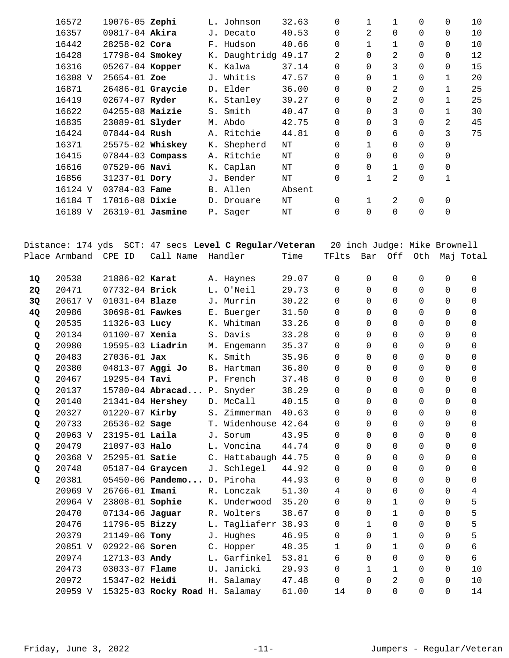|           | 16572         | 19076-05 Zephi       |                                |    | L. Johnson                                                    | 32.63     | 0                            | 1            | 1              | 0            | 0              | 10        |
|-----------|---------------|----------------------|--------------------------------|----|---------------------------------------------------------------|-----------|------------------------------|--------------|----------------|--------------|----------------|-----------|
|           | 16357         | 09817-04 Akira       |                                |    | J. Decato                                                     | 40.53     | 0                            | 2            | $\mathbf 0$    | 0            | 0              | 10        |
|           | 16442         | 28258-02 Cora        |                                |    | F. Hudson                                                     | 40.66     | 0                            | 1            | 1              | 0            | 0              | 10        |
|           | 16428         | 17798-04 Smokey      |                                |    | K. Daughtridg 49.17                                           |           | 2                            | 0            | 2              | 0            | 0              | 12        |
|           | 16316         | 05267-04 Kopper      |                                |    | K. Kalwa                                                      | 37.14     | 0                            | $\Omega$     | 3              | 0            | 0              | 15        |
|           | 16308 V       | 25654-01 Zoe         |                                |    | J. Whitis                                                     | 47.57     | 0                            | $\Omega$     | 1              | 0            | 1              | 20        |
|           | 16871         | 26486-01 Graycie     |                                |    | D. Elder                                                      | 36.00     | 0                            | $\Omega$     | 2              | 0            | 1              | 25        |
|           | 16419         | 02674-07 Ryder       |                                |    | K. Stanley                                                    | 39.27     | 0                            | $\Omega$     | 2              | 0            | $\mathbf{1}$   | 25        |
|           | 16622         | 04255-08 Maizie      |                                |    | S. Smith                                                      | 40.47     | 0                            | $\Omega$     | 3              | 0            | $\mathbf 1$    | 30        |
|           | 16835         | 23089-01 slyder      |                                |    | M. Abdo                                                       | 42.75     | 0                            | 0            | 3              | 0            | 2              | 45        |
|           | 16424         | 07844-04 Rush        |                                |    | A. Ritchie                                                    | 44.81     | 0                            | $\Omega$     | 6              | 0            | 3              | 75        |
|           | 16371         | 25575-02 Whiskey     |                                |    | K. Shepherd                                                   | $\rm{NT}$ | 0                            | $\mathbf{1}$ | 0              | 0            | 0              |           |
|           | 16415         | $07844 - 03$ Compass |                                |    | A. Ritchie                                                    | $\rm{NT}$ | 0                            | $\Omega$     | 0              | 0            | 0              |           |
|           | 16616         | $07529 - 06$ Navi    |                                |    | K. Caplan                                                     | $\rm{NT}$ | 0                            | $\Omega$     | 1              | 0            | 0              |           |
|           | 16856         | 31237-01 Dory        |                                |    | J. Bender                                                     | $\rm{NT}$ | 0                            | 1            | 2              | 0            | 1              |           |
|           | 16124 V       | 03784-03 Fame        |                                |    | B. Allen                                                      | Absent    |                              |              |                |              |                |           |
|           | 16184 T       | 17016-08 Dixie       |                                |    | D. Drouare                                                    | NΤ        | 0                            | $\mathbf 1$  | 2              | 0            | 0              |           |
|           | 16189 V       | 26319-01 Jasmine     |                                |    | P. Sager                                                      | $\rm{NT}$ | 0                            | $\Omega$     | $\Omega$       | 0            | 0              |           |
|           |               |                      |                                |    |                                                               |           |                              |              |                |              |                |           |
|           |               |                      |                                |    |                                                               |           |                              |              |                |              |                |           |
|           |               |                      |                                |    | Distance: 174 yds SCT: 47 secs <b>Level C Regular/Veteran</b> |           | 20 inch Judge: Mike Brownell |              |                |              |                |           |
|           | Place Armband | CPE ID               | Call Name                      |    | Handler                                                       | Time      | TFlts                        | Bar          | Off            | Oth          |                | Maj Total |
|           |               |                      |                                |    |                                                               |           |                              |              |                |              |                |           |
| 1Q        | 20538         | 21886-02 Karat       |                                |    | A. Haynes                                                     | 29.07     | 0                            | 0            | 0              | 0            | 0              | 0         |
| <b>2Q</b> | 20471         | 07732-04 Brick       |                                |    | L. O'Neil                                                     | 29.73     | 0                            | $\mathbf 0$  | 0              | 0            | 0              | 0         |
| 3Q        | 20617 V       | 01031-04 Blaze       |                                |    | J. Murrin                                                     | 30.22     | 0                            | $\Omega$     | $\Omega$       | 0            | 0              | 0         |
| 4Q        | 20986         | 30698-01 Fawkes      |                                |    | E. Buerger                                                    | 31.50     | 0                            | $\Omega$     | $\Omega$       | 0            | 0              | 0         |
| Q         | 20535         | 11326-03 Lucy        |                                |    | K. Whitman                                                    | 33.26     | 0                            | $\Omega$     | $\Omega$       | 0            | 0              | 0         |
| Q         | 20134         | $01100 - 07$ Xenia   |                                |    | S. Davis                                                      | 33.28     | 0                            | 0            | 0              | 0            | 0              | 0         |
| Q         | 20980         | 19595-03 Liadrin     |                                |    | M. Engemann                                                   | 35.37     | 0                            | $\Omega$     | 0              | 0            | 0              | 0         |
| Q         | 20483         | $27036 - 01$ Jax     |                                | К. | Smith                                                         | 35.96     | 0                            | $\Omega$     | 0              | 0            | 0              | 0         |
| Q         | 20380         | 04813-07 Aggi Jo     |                                |    | B. Hartman                                                    | 36.80     | 0                            | $\Omega$     | 0              | 0            | 0              | 0         |
| Q         | 20467         | 19295-04 Tavi        |                                |    | P. French                                                     | 37.48     | 0                            | $\mathbf 0$  | $\overline{0}$ | 0            | 0              | 0         |
| Q         | 20137         |                      | 15780-04 Abracad P. Snyder     |    |                                                               | 38.29     | $\mathsf{O}$                 | $\mathbf 0$  | $\overline{0}$ | $\mathsf{O}$ | $\overline{0}$ | 0         |
| Q         | 20140         | 21341-04 Hershey     |                                |    | D. McCall                                                     | 40.15     | 0                            | 0            | 0              | 0            | 0              | 0         |
| Q         | 20327         | 01220-07 Kirby       |                                |    | S. Zimmerman                                                  | 40.63     | 0                            | $\Omega$     | 0              | 0            | 0              | 0         |
| Q         | 20733         | $26536 - 02$ Sage    |                                |    | T. Widenhouse 42.64                                           |           | 0                            | $\Omega$     | 0              | 0            | 0              | 0         |
| Q         | 20963 V       | 23195-01 Laila       |                                |    | J. Sorum                                                      | 43.95     | 0                            | $\Omega$     | $\mathbf 0$    | 0            | 0              | 0         |
| Q         | 20479         | 21097-03 Halo        |                                |    | L. Voncina                                                    | 44.74     | 0                            | $\Omega$     | $\Omega$       | 0            | 0              | 0         |
| Q         | 20368 V       | 25295-01 Satie       |                                |    | C. Hattabaugh                                                 | 44.75     | 0                            | $\Omega$     | 0              | 0            | 0              | 0         |
| Q         | 20748         | 05187-04 Graycen     |                                |    | J. Schlegel                                                   | 44.92     | 0                            | $\Omega$     | 0              | 0            | 0              | 0         |
| Q         | 20381         |                      | 05450-06 Pandemo D. Piroha     |    |                                                               | 44.93     | 0                            | 0            | 0              | 0            | 0              | 0         |
|           | 20969 V       | 26766-01 Imani       |                                |    | R. Lonczak                                                    | 51.30     | 4                            | $\Omega$     | 0              | 0            | 0              | 4         |
|           | 20964 V       | 23808-01 Sophie      |                                |    | K. Underwood                                                  | 35.20     | 0                            | $\Omega$     | 1              | 0            | 0              | 5         |
|           | 20470         | 07134-06 Jaguar      |                                |    | R. Wolters                                                    | 38.67     | 0                            | $\Omega$     | $\mathbf 1$    | 0            | 0              | 5         |
|           | 20476         | 11796-05 Bizzy       |                                |    | L. Tagliaferr 38.93                                           |           | 0                            | $\mathbf{1}$ | $\overline{0}$ | 0            | 0              | 5         |
|           | 20379         | 21149-06 Tony        |                                |    | J. Hughes                                                     | 46.95     | 0                            | $\Omega$     | 1              | 0            | 0              | 5         |
|           | 20851 V       | 02922-06 Soren       |                                |    | C. Hopper                                                     | 48.35     | 1                            | $\Omega$     | $\mathbf 1$    | 0            | 0              | 6         |
|           | 20974         | 12713-03 Andy        |                                |    | L. Garfinkel                                                  | 53.81     | 6                            | $\Omega$     | 0              | 0            | 0              | 6         |
|           | 20473         | 03033-07 Flame       |                                |    | U. Janicki                                                    | 29.93     | 0                            | $\mathbf{1}$ | $\mathbf 1$    | 0            | 0              | 10        |
|           | 20972         | 15347-02 Heidi       |                                |    | H. Salamay                                                    | 47.48     | 0                            | 0            | 2              | 0            | 0              | 10        |
|           | 20959 V       |                      | 15325-03 Rocky Road H. Salamay |    |                                                               | 61.00     | 14                           | 0            | 0              | 0            | 0              | 14        |
|           |               |                      |                                |    |                                                               |           |                              |              |                |              |                |           |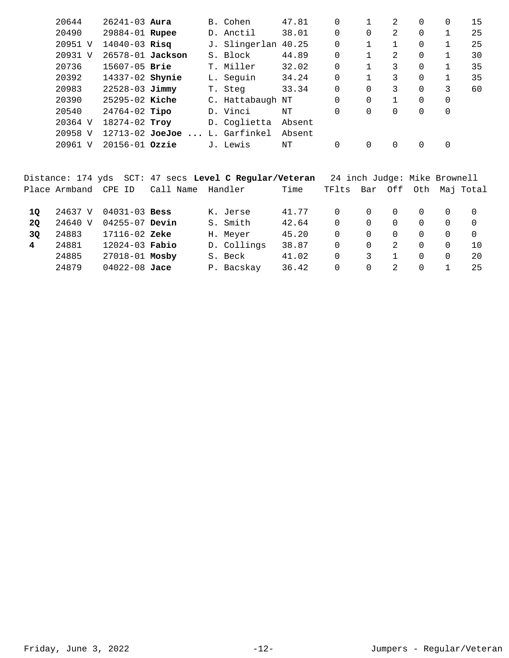| 20644   | $26241 - 03$ Aura  |                     |    | B. Cohen         | 47.81  | 0        |          | 2 | 0 | 0 | 15 |
|---------|--------------------|---------------------|----|------------------|--------|----------|----------|---|---|---|----|
| 20490   | 29884-01 Rupee     |                     |    | D. Anctil        | 38.01  | 0        | $\Omega$ | 2 | 0 |   | 25 |
| 20951 V | $14040 - 03$ Risq  |                     | J. | Slingerlan       | 40.25  | 0        |          |   | 0 |   | 25 |
| 20931 V | 26578-01 Jackson   |                     |    | S. Block         | 44.89  | 0        |          | 2 | 0 |   | 30 |
| 20736   | $15607 - 05$ Brie  |                     | T. | Miller           | 32.02  | 0        |          | 3 | 0 |   | 35 |
| 20392   | 14337-02 Shynie    |                     |    | L. Seguin        | 34.24  | $\Omega$ |          | 3 | 0 |   | 35 |
| 20983   | $22528 - 03$ Jimmy |                     | Т. | Steg             | 33.34  | 0        | $\Omega$ | 3 | 0 | 3 | 60 |
| 20390   | $25295 - 02$ Kiche |                     |    | C. Hattabaugh NT |        | 0        | $\Omega$ |   | 0 | 0 |    |
| 20540   | $24764-02$ Tipo    |                     |    | D. Vinci         | NΤ     | 0        | $\Omega$ |   | 0 | 0 |    |
| 20364 V | 18274-02 Troy      |                     |    | D. Coglietta     | Absent |          |          |   |   |   |    |
| 20958 V |                    | $12713 - 02$ JoeJoe |    | L. Garfinkel     | Absent |          |          |   |   |   |    |
| 20961 V | 20156-01 Ozzie     |                     |    | J. Lewis         | NΤ     | 0        | $\Omega$ |   | 0 |   |    |
|         |                    |                     |    |                  |        |          |          |   |   |   |    |

|           |               |                    | Distance: 174 yds SCT: 47 secs Level C Regular/Veteran |             |       | 24 inch Judge: Mike Brownell |          |              |          |          |                   |
|-----------|---------------|--------------------|--------------------------------------------------------|-------------|-------|------------------------------|----------|--------------|----------|----------|-------------------|
|           | Place Armband | CPE ID             | Call Name                                              | Handler     | Time  | TFlts                        | Bar      |              |          |          | Off Oth Maj Total |
| 10        | 24637 V       | $04031 - 03$ Bess  |                                                        | K. Jerse    | 41.77 | 0                            | $\Omega$ | . O          | $\Omega$ | $\Omega$ |                   |
| <b>20</b> | 24640 V       | $04255 - 07$ Devin |                                                        | S. Smith    | 42.64 | $\Omega$                     | $\Omega$ | $\Omega$     | $\Omega$ | 0        |                   |
| 3Q        | 24883         | 17116-02 Zeke      |                                                        | H. Meyer    | 45.20 | 0                            | $\Omega$ | $\Omega$     | $\Omega$ | 0        | $\Omega$          |
| 4         | 24881         | $12024 - 03$ Fabio |                                                        | D. Collings | 38.87 | 0                            | $\Omega$ | 2            | $\Omega$ | 0        | 10.               |
|           | 24885         | 27018-01 Mosby     |                                                        | S. Beck     | 41.02 | 0                            | 3        | $\mathbf{1}$ | 0        | 0        | 20                |
|           | 24879         | $04022 - 08$ Jace  |                                                        | P. Bacskay  | 36.42 | 0                            | $\Omega$ | 2            | $\Omega$ |          | 25                |
|           |               |                    |                                                        |             |       |                              |          |              |          |          |                   |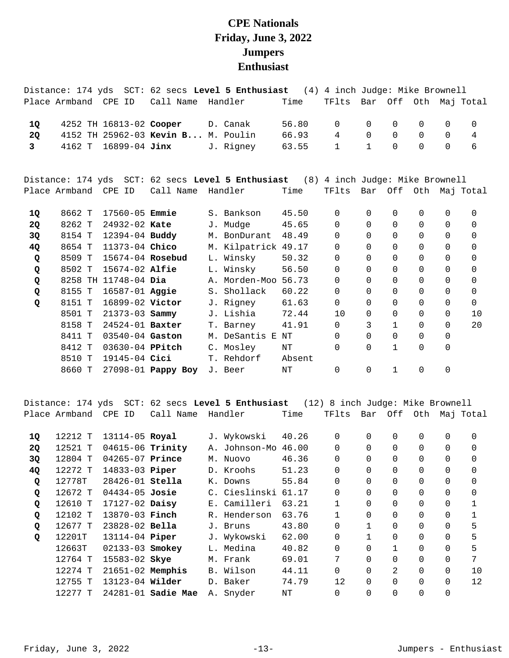## **CPE Nationals Friday, June 3, 2022 Jumpers Enthusiast**

|                |                      |                         |                                    | Distance: 174 yds SCT: 62 secs Level 5 Enthusiast                                 |        | (4) 4 inch Judge: Mike Brownell |              |              |          |          |                       |
|----------------|----------------------|-------------------------|------------------------------------|-----------------------------------------------------------------------------------|--------|---------------------------------|--------------|--------------|----------|----------|-----------------------|
|                | Place Armband CPE ID |                         | Call Name Handler                  |                                                                                   | Time   | TFlts                           |              |              |          |          | Bar Off Oth Maj Total |
| 1Q             |                      | 4252 TH 16813-02 Cooper |                                    | D. Canak                                                                          | 56.80  | $\Omega$                        | 0            | 0            | 0        | $\Omega$ | $\Omega$              |
| 2Q             |                      |                         | 4152 TH 25962-03 Kevin B M. Poulin |                                                                                   | 66.93  | 4                               | $\Omega$     | $\Omega$     | 0        | $\Omega$ | 4                     |
| 3 <sup>7</sup> | 4162 T               | 16899-04 Jinx           |                                    | J. Rigney                                                                         | 63.55  | $\mathbf{1}$                    | $\mathbf{1}$ | $\Omega$     | $\Omega$ | $\Omega$ | 6                     |
|                |                      |                         |                                    | Distance: 174 yds SCT: 62 secs Level 5 Enthusiast (8) 4 inch Judge: Mike Brownell |        |                                 |              |              |          |          |                       |
|                | Place Armband CPE ID |                         | Call Name                          | Handler                                                                           | Time   | TFlts                           |              |              |          |          | Bar Off Oth Maj Total |
| 1Q             | 8662 T               | 17560-05 <b>Emmie</b>   |                                    | S. Bankson                                                                        | 45.50  | $\Omega$                        | $\Omega$     | 0            | 0        | 0        | $\mathbf 0$           |
| 2Q             | 8262 T               | 24932-02 Kate           |                                    | J. Mudge                                                                          | 45.65  | 0                               | 0            | $\Omega$     | 0        | 0        | 0                     |
| 3Q             | 8154 T               | $12394 - 04$ Buddy      |                                    | M. BonDurant                                                                      | 48.49  | $\Omega$                        | $\Omega$     | $\Omega$     | 0        | $\Omega$ | 0                     |
| 4Q             | 8654 T               | 11373-04 Chico          |                                    | M. Kilpatrick 49.17                                                               |        | $\Omega$                        | $\Omega$     | $\Omega$     | 0        | $\Omega$ | 0                     |
| Q              | 8509 T               | 15674-04 Rosebud        |                                    | L. Winsky                                                                         | 50.32  | $\Omega$                        | $\Omega$     | $\Omega$     | 0        | $\Omega$ | 0                     |
| Q              | 8502 T               | 15674-02 Alfie          |                                    | L. Winsky                                                                         | 56.50  | $\Omega$                        | $\Omega$     | 0            | 0        | 0        | 0                     |
| Q              | 8258 TH              | $11748-04$ Dia          |                                    | A. Morden-Moo                                                                     | 56.73  | $\Omega$                        | $\Omega$     | $\Omega$     | 0        | $\Omega$ | 0                     |
| Q              | 8155 T               | 16587-01 Aggie          |                                    | S. Shollack                                                                       | 60.22  | $\Omega$                        | $\Omega$     | 0            | 0        | $\Omega$ | 0                     |
| Q              | 8151 T               | 16899-02 Victor         |                                    | J. Rigney                                                                         | 61.63  | $\Omega$                        | $\Omega$     | $\Omega$     | $\Omega$ | $\Omega$ | $\Omega$              |
|                | 8501 T               | $21373 - 03$ Sammy      |                                    | J. Lishia                                                                         | 72.44  | 10                              | $\Omega$     | 0            | 0        | 0        | 10                    |
|                | 8158 T               | 24524-01 Baxter         |                                    | T. Barney                                                                         | 41.91  | $\Omega$                        | 3            | $\mathbf 1$  | 0        | $\Omega$ | 20                    |
|                | 8411 T               | 03540-04 Gaston         |                                    | M. DeSantis E NT                                                                  |        | $\Omega$                        | $\Omega$     | 0            | 0        | 0        |                       |
|                | 8412 T               | 03630-04 PPitch         |                                    | C. Mosley                                                                         | NT     | $\Omega$                        | $\Omega$     | $\mathbf{1}$ | 0        | 0        |                       |
|                | 8510 T               | 19145-04 Cici           |                                    | T. Rehdorf                                                                        | Absent |                                 |              |              |          |          |                       |
|                | 8660 T               |                         | 27098-01 Pappy Boy                 | J. Beer                                                                           | NT     | 0                               | 0            | $\mathbf{1}$ | 0        | 0        |                       |

Distance: 174 yds SCT: 62 secs **Level 5 Enthusiast** (12) 8 inch Judge: Mike Brownell Place Armband CPE ID Call Name Handler Time TFlts Bar Off Oth Maj Total

| 1Q | 12212 T | 13114-05 Royal        |                           | J. Wykowski   | 40.26 | 0              | 0        | 0        | 0        | 0        | 0        |
|----|---------|-----------------------|---------------------------|---------------|-------|----------------|----------|----------|----------|----------|----------|
| 2Q | 12521 T | 04615-06 Trinity      |                           | A. Johnson-Mo | 46.00 | $\overline{0}$ | $\Omega$ | $\Omega$ | $\Omega$ | $\Omega$ | $\Omega$ |
| 3Q | 12804 T | 04265-07 Prince       |                           | M. Nuovo      | 46.36 | $\overline{0}$ | $\Omega$ | $\Omega$ | 0        | 0        | $\Omega$ |
| 4Q | 12272 T | 14833-03 Piper        |                           | D. Kroohs     | 51.23 | $\Omega$       | $\Omega$ | $\Omega$ | $\Omega$ | $\Omega$ | $\Omega$ |
| Q  | 12778T  | 28426-01 Stella       |                           | K. Downs      | 55.84 | 0              | $\Omega$ |          | 0        | $\Omega$ | $\Omega$ |
| Q  | 12672 T | $04434 - 05$ Josie    |                           | C. Cieslinski | 61.17 | $\Omega$       | $\Omega$ | $\Omega$ | 0        | $\Omega$ | $\Omega$ |
| Q  | 12610 T | $17127 - 02$ Daisy    |                           | E. Camilleri  | 63.21 | 1              | $\Omega$ | $\Omega$ | 0        | 0        |          |
| Q  | 12102 T | 13870-03 Finch        |                           | R. Henderson  | 63.76 |                | $\Omega$ | $\Omega$ | $\Omega$ | $\Omega$ |          |
| Q  | 12677 T | 23828-02 Bella        |                           | J. Bruns      | 43.80 | 0              |          |          | 0        | 0        | 5        |
| Q  | 12201T  | 13114-04 <b>Piper</b> |                           | J. Wykowski   | 62.00 | $\Omega$       |          | $\Omega$ | 0        | $\Omega$ | 5        |
|    | 12663T  | 02133-03 Smokey       |                           | L. Medina     | 40.82 | $\overline{0}$ | 0        |          | 0        | 0        | 5        |
|    | 12764 T | 15583-02 Skye         |                           | M. Frank      | 69.01 | 7              | $\Omega$ |          | 0        | $\Omega$ | 7        |
|    | 12274 T | $21651-02$ Memphis    |                           | B. Wilson     | 44.11 | $\overline{0}$ | 0        | 2        | 0        | 0        | 10       |
|    | 12755 T | 13123-04 Wilder       |                           | D. Baker      | 74.79 | 12             | $\Omega$ | $\Omega$ | 0        | $\Omega$ | 12       |
|    | 12277 T |                       | 24281-01 <b>Sadie Mae</b> | A. Snyder     | NΤ    | 0              | $\Omega$ |          | 0        | 0        |          |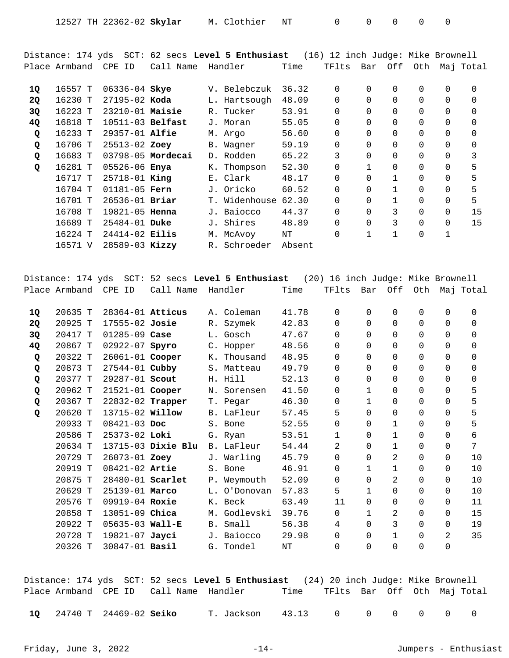| 12527 TH 22362-02 Skylar M. Clothier |  | NT |  |  |  |  |  |
|--------------------------------------|--|----|--|--|--|--|--|
|--------------------------------------|--|----|--|--|--|--|--|

Distance: 174 yds SCT: 62 secs **Level 5 Enthusiast** (16) 12 inch Judge: Mike Brownell Place Armband CPE ID Call Name Handler Time TFlts Bar Off Oth Maj Total

| 1Q        | 16557 T | 06336-04 Skye      |                       |    | V. Belebczuk  | 36.32  | 0              | $\Omega$     | 0            | 0        | 0           | $\Omega$ |
|-----------|---------|--------------------|-----------------------|----|---------------|--------|----------------|--------------|--------------|----------|-------------|----------|
| <b>2Q</b> | 16230 T | $27195 - 02$ Koda  |                       |    | L. Hartsough  | 48.09  | $\Omega$       | $\Omega$     | $\Omega$     | $\Omega$ | $\Omega$    | $\Omega$ |
| 3Q        | 16223 T | $23210-01$ Maisie  |                       |    | R. Tucker     | 53.91  | $\overline{0}$ | $\Omega$     | $\Omega$     | 0        | 0           | $\Omega$ |
| 4Q        | 16818 T | 10511-03 Belfast   |                       |    | J. Moran      | 55.05  | $\overline{0}$ | $\Omega$     | $\Omega$     | 0        | $\Omega$    | $\Omega$ |
| Q         | 16233 T | $29357 - 01$ Alfie |                       |    | M. Argo       | 56.60  | 0              | $\Omega$     |              | $\Omega$ | $\Omega$    | $\Omega$ |
| Q         | 16706 T | 25513-02 Zoey      |                       |    | B. Wagner     | 59.19  | $\overline{0}$ | $\Omega$     | $\Omega$     | 0        | $\Omega$    | $\Omega$ |
| Q         | 16683 T |                    | $03798 - 05$ Mordecai |    | D. Rodden     | 65.22  | 3              | $\Omega$     | $\Omega$     | $\Omega$ | $\Omega$    | 3        |
| Q         | 16281 T | 05526-06 Enya      |                       |    | K. Thompson   | 52.30  | 0              |              | $\Omega$     | 0        | 0           | 5        |
|           | 16717 T | $25718 - 01$ King  |                       |    | E. Clark      | 48.17  | $\Omega$       | $\Omega$     | 1            | $\Omega$ | $\Omega$    | 5        |
|           | 16704 T | $01181 - 05$ Fern  |                       |    | J. Oricko     | 60.52  | $\Omega$       | $\Omega$     | 1            | $\Omega$ | 0           | 5        |
|           | 16701 T | $26536 - 01$ Briar |                       |    | T. Widenhouse | 62.30  | $\overline{0}$ | $\Omega$     | $\mathbf{1}$ | 0        | 0           | 5        |
|           | 16708 T | 19821-05 Henna     |                       |    | J. Baiocco    | 44.37  | $\Omega$       | $\Omega$     | 3            | $\Omega$ | $\Omega$    | 15       |
|           | 16689 T | $25484 - 01$ Duke  |                       | J. | Shires        | 48.89  | $\Omega$       | $\Omega$     | 3            | $\Omega$ | $\Omega$    | 15       |
|           | 16224 T | $24414 - 02$ Eilis |                       |    | M. McAvoy     | NΤ     | $\overline{0}$ | $\mathbf{1}$ | 1            | 0        | $\mathbf 1$ |          |
|           | 16571 V | 28589-03 Kizzy     |                       | R. | Schroeder     | Absent |                |              |              |          |             |          |

Distance: 174 yds SCT: 52 secs **Level 5 Enthusiast** (20) 16 inch Judge: Mike Brownell Place Armband CPE ID Call Name Handler Time TFlts Bar Off Oth Maj Total 20635 T 28364-01 A. Coleman 41.78 0 0 0 0 0 0 **1Q Atticus**  20925 T 17555-02 R. Szymek 42.83 0 0 0 0 0 0 **2Q Josie**  20417 T 01285-09 L. Gosch 47.67 0 0 0 0 0 0 **3Q Case**  20867 T 02922-07 C. Hopper 48.56 0 0 0 0 0 0 **4Q Spyro**  20322 T 26061-01 K. Thousand 48.95 0 0 0 0 0 0 **Q Cooper**  20873 T 27544-01 S. Matteau 49.79 0 0 0 0 0 0 **Q Cubby**  20377 T 29287-01 H. Hill 52.13 0 0 0 0 0 0 **Q Scout**  20962 T 21521-01 N. Sorensen 41.50 0 1 0 0 0 5 **Q Cooper**  20367 T 22832-02 T. Pegar 46.30 0 1 0 0 0 5 **Q Trapper**  20620 T 13715-02 B. LaFleur 57.45 5 0 0 0 0 5 **Q Willow**  20933 T 08421-03 S. Bone 52.55 0 0 1 0 0 5 **Doc**  20586 T 25373-02 G. Ryan 53.51 1 0 1 0 0 6 **Loki**  20634 T 13715-03 B. LaFleur 54.44 2 0 1 0 0 7 **Dixie Blu**  20729 T 26073-01 J. Warling 45.79 0 0 2 0 0 10 **Zoey**  20919 T 08421-02 S. Bone 46.91 0 1 1 0 0 10 **Artie**  20875 T 28480-01 P. Weymouth 52.09 0 0 2 0 0 10 **Scarlet**  20629 T 25139-01 L. O'Donovan 57.83 5 1 0 0 0 10 **Marco**  20576 T 09919-04 K. Beck 63.49 11 0 0 0 0 11 **Roxie**  20858 T 13051-09 M. Godlevski 39.76 0 1 2 0 0 15 **Chica** 

Distance: 174 yds SCT: 52 secs **Level 5 Enthusiast** (24) 20 inch Judge: Mike Brownell Place Armband CPE ID Call Name Handler Time TFlts Bar Off Oth Maj Total

20326 T 30847-01 G. Tondel NT 0 0 0 0 0 **Basil** 

 20922 T 05635-03 B. Small 56.38 4 0 3 0 0 19 **Wall-E**  20728 T 19821-07 J. Baiocco 29.98 0 0 1 0 2 35 **Jayci** 

24740 T 24469-02 T. Jackson 43.13 0 0 0 0 0 0 **1Q Seiko**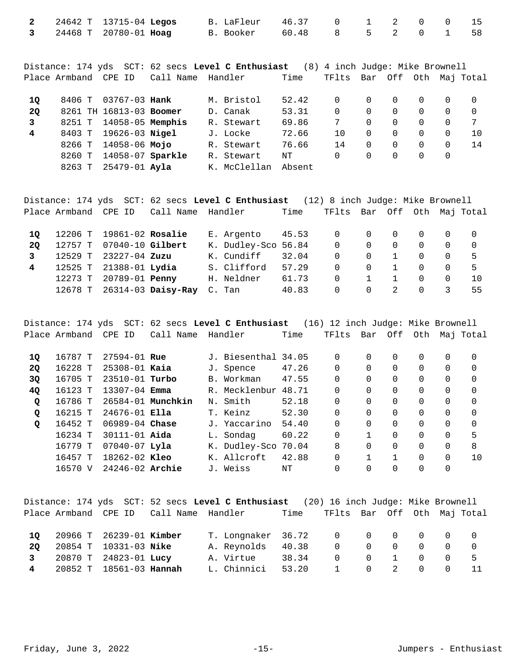|  |  | 2 24642 T 13715-04 Legos B. LaFleur 46.37 0 1 2 0 0 15 |  |  |  |  |
|--|--|--------------------------------------------------------|--|--|--|--|
|  |  | 3 24468 T 20780-01 Hoag B. Booker 60.48 8 5 2 0 1 58   |  |  |  |  |

Distance: 174 yds SCT: 62 secs **Level C Enthusiast** (8) 4 inch Judge: Mike Brownell Place Armband CPE ID Call Name Handler Time TFlts Bar Off Oth Maj Total

| 10        |        | 8406 T 03767-03 Hank    |  | M. Bristol   | 52.42  | 0   |                  |          | $\Omega$         |     |
|-----------|--------|-------------------------|--|--------------|--------|-----|------------------|----------|------------------|-----|
| <b>20</b> |        | 8261 TH 16813-03 Boomer |  | D. Canak     | 53.31  | 0   | $\Omega$         |          | $\Omega$         |     |
|           |        | 8251 T 14058-05 Memphis |  | R. Stewart   | 69.86  |     | $\Omega$         |          | 0                |     |
| 4         |        | 8403 T 19626-03 Nigel   |  | J. Locke     | 72.66  | 1 N | $\left( \right)$ |          | $\Omega$         |     |
|           |        | 8266 T 14058-06 Mojo    |  | R. Stewart   | 76.66  | 14  | $\Omega$         | $\Omega$ | $\Omega$         | -14 |
|           | 8260 T | 14058-07 Sparkle        |  | R. Stewart   | NΤ     | 0   | $\left( \right)$ |          | $\left( \right)$ |     |
|           | 8263 T | 25479-01 Ayla           |  | K. McClellan | Absent |     |                  |          |                  |     |

|             |                          |                            | Distance: 174 yds SCT: 62 secs Level C Enthusiast (12) 8 inch Judge: Mike Brownell |       |                            |          |                |          |                |                |
|-------------|--------------------------|----------------------------|------------------------------------------------------------------------------------|-------|----------------------------|----------|----------------|----------|----------------|----------------|
|             | Place Armband CPE ID     | Call Name Handler          |                                                                                    | Time  | TFlts Bar Off Oth MajTotal |          |                |          |                |                |
| 10          | 12206 T 19861-02 Rosalie |                            | E. Argento 45.53 0 0 0                                                             |       |                            |          |                |          | $0\qquad 0$    | $\overline{0}$ |
| 20          | 12757 T 07040-10 Gilbert |                            | K. Dudley-Sco 56.84                                                                |       | $\Omega$                   | $\Omega$ | $\overline{0}$ | $\Omega$ | $\overline{0}$ | $\overline{0}$ |
| 3           | 12529 T 23227-04 Zuzu    |                            | K. Cundiff                                                                         | 32.04 | $\Omega$                   | $\Omega$ |                | $\Omega$ | $\Omega$       | -5             |
| $4^{\circ}$ | 12525 T 21388-01 Lydia   |                            | S. Clifford                                                                        | 57.29 | $\Omega$                   | $\Omega$ | $\overline{1}$ | $\Omega$ | $\Omega$       | -5             |
|             | 12273 T 20789-01 Penny   |                            | H. Neldner                                                                         | 61.73 | $\Omega$                   |          |                | $\Omega$ | $\Omega$       | 1 O            |
|             |                          | 12678 T 26314-03 Daisy-Ray | C. Tan                                                                             | 40.83 | $\Omega$                   | $\Omega$ | 2              | $\Omega$ | 3              | 55.            |

Distance: 174 yds SCT: 62 secs **Level C Enthusiast** (16) 12 inch Judge: Mike Brownell Place Armband CPE ID Call Name Handler Time TFlts Bar Off Oth Maj Total

| 10        | 16787 T | $27594 - 01$ Rue   |                   | J. Biesenthal 34.05 |       | 0 | 0 | 0 | 0 | $\Omega$ | 0        |
|-----------|---------|--------------------|-------------------|---------------------|-------|---|---|---|---|----------|----------|
| <b>20</b> | 16228 T | $25308 - 01$ Kaia  |                   | J. Spence           | 47.26 | 0 | 0 | 0 | 0 | 0        | 0        |
| 3Q        | 16705 T | 23510-01 Turbo     |                   | B. Workman          | 47.55 | 0 |   |   | 0 |          | $\Omega$ |
| <b>40</b> | 16123 T | $13307 - 04$ Emma  |                   | R. Mecklenbur       | 48.71 | 0 |   |   | 0 | 0        | $\Omega$ |
| Q         | 16786 T |                    | 26584-01 Munchkin | N. Smith            | 52.18 | 0 | 0 |   | 0 | 0        | $\Omega$ |
| Q         | 16215 T | $24676 - 01$ Ella  |                   | T. Keinz            | 52.30 | 0 | 0 | 0 | 0 | 0        | $\Omega$ |
| Q         | 16452 T | $06989 - 04$ Chase |                   | J. Yaccarino        | 54.40 | 0 | 0 | 0 | 0 | $\Omega$ | $\Omega$ |
|           | 16234 T | $30111 - 01$ Aida  |                   | L. Sondag           | 60.22 | 0 |   |   | 0 | 0        | 5        |
|           | 16779 T | $07040 - 07$ Lyla  |                   | K. Dudley-Sco       | 70.04 | 8 |   |   | 0 | 0        | 8        |
|           | 16457 T | $18262 - 02$ Kleo  |                   | K. Allcroft         | 42.88 | 0 |   |   | 0 |          | 1 O      |
|           | 16570 V | 24246-02 Archie    |                   | J. Weiss            | NΤ    | 0 |   |   |   |          |          |

|              |                           |                                            | Distance: 174 yds SCT: 52 secs Level C Enthusiast (20) 16 inch Judge: Mike Brownell |                                  |                |  |                                             |          |    |
|--------------|---------------------------|--------------------------------------------|-------------------------------------------------------------------------------------|----------------------------------|----------------|--|---------------------------------------------|----------|----|
|              |                           | Place Armband  CPE ID   Call Name  Handler |                                                                                     | Time TFlts Bar Off Oth Maj-Total |                |  |                                             |          |    |
|              |                           |                                            |                                                                                     |                                  |                |  |                                             |          |    |
| 10           | 20966 T 26239-01 Kimber   |                                            | T. Longnaker 36.72 0 0 0 0 0 0 0                                                    |                                  |                |  |                                             |          |    |
| 20           | 20854 T 10331-03 Nike     |                                            | A. Reynolds                                                                         | 40.38                            | $\Omega$       |  |                                             |          |    |
| $\mathbf{3}$ | 20870 T 24823-01 Lucy     |                                            | A. Virtue                                                                           | 38.34                            | $\overline{0}$ |  | $\begin{matrix} 0 & 1 & 0 & 0 \end{matrix}$ |          | -5 |
|              | 4 20852 T 18561-03 Hannah |                                            | L. Chinnici                                                                         | 53.20 1 0 2 0                    |                |  |                                             | $\Omega$ | 11 |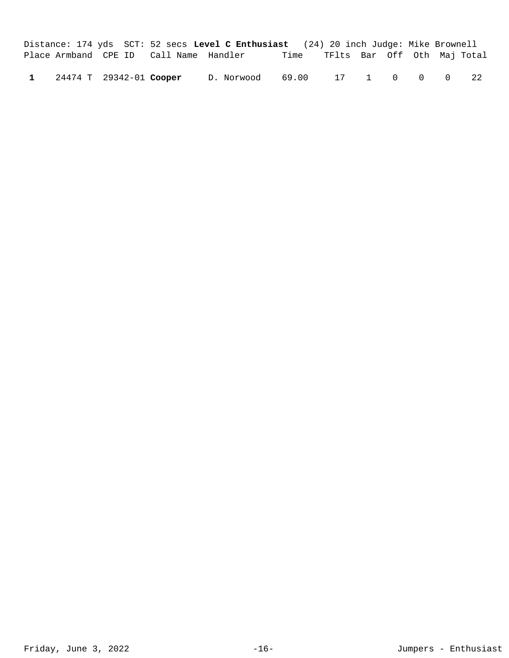|  |                         |                                        | Distance: 174 yds SCT: 52 secs Level C Enthusiast (24) 20 inch Judge: Mike Brownell |      |                             |  |  |    |
|--|-------------------------|----------------------------------------|-------------------------------------------------------------------------------------|------|-----------------------------|--|--|----|
|  |                         | Place Armband CPE ID Call Name Handler |                                                                                     | Time | TFlts Bar Off Oth Maj-Total |  |  |    |
|  | 24474 T 29342-01 Cooper |                                        | D.Norwood 69.00 17 1 0 0 0                                                          |      |                             |  |  | 22 |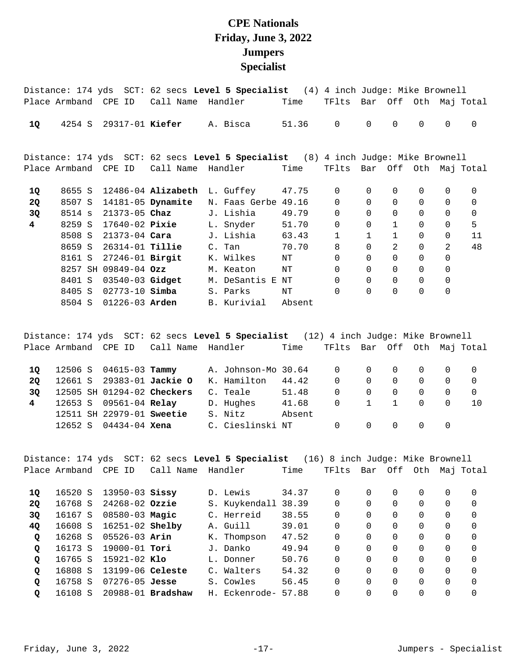## **CPE Nationals Friday, June 3, 2022 Jumpers Specialist**

|                |        |                        |                           | Distance: 174 yds SCT: 62 secs Level 5 Specialist (4) 4 inch Judge: Mike Brownell |        |                             |              |                |             |                |                       |
|----------------|--------|------------------------|---------------------------|-----------------------------------------------------------------------------------|--------|-----------------------------|--------------|----------------|-------------|----------------|-----------------------|
|                |        | Place Armband CPE ID   |                           | Call Name Handler                                                                 | Time   | TFlts Bar Off Oth Maj Total |              |                |             |                |                       |
| 1Q             |        | 4254 S 29317-01 Kiefer |                           | A. Bisca                                                                          | 51.36  | $\mathbf 0$                 | $\Omega$     | $\Omega$       | $\Omega$    | $\Omega$       | $\Omega$              |
|                |        |                        |                           | Distance: 174 yds SCT: 62 secs Level 5 Specialist (8) 4 inch Judge: Mike Brownell |        |                             |              |                |             |                |                       |
|                |        | Place Armband CPE ID   | Call Name                 | Handler                                                                           | Time   | TFlts                       |              |                |             |                | Bar Off Oth Maj Total |
| 1Q             |        |                        | 8655 S 12486-04 Alizabeth | L. Guffey 47.75                                                                   |        | $\mathbf 0$                 | 0            | 0              | 0           | $\mathbf 0$    | 0                     |
| <b>2Q</b>      | 8507 S |                        | 14181-05 Dynamite         | N. Faas Gerbe 49.16                                                               |        | $\Omega$                    | $\Omega$     | $\Omega$       | $\Omega$    | $\Omega$       | $\mathbf 0$           |
| 3Q             |        | 8514 s 21373-05 Chaz   |                           | J. Lishia                                                                         | 49.79  | $\mathbf 0$                 | $\Omega$     | $\Omega$       | $\Omega$    | $\Omega$       | $\mathbf 0$           |
| $\overline{4}$ |        |                        | 8259 S 17640-02 Pixie     | L. Snyder                                                                         | 51.70  | $\Omega$                    | $\Omega$     | $\mathbf{1}$   | $\Omega$    | $\Omega$       | 5                     |
|                |        |                        | 8508 S 21373-04 Cara      | J. Lishia                                                                         | 63.43  | $\mathbf{1}$                | $\mathbf{1}$ | $\mathbf{1}$   | 0           | $\mathbf 0$    | 11                    |
|                |        | 8659 S 26314-01 Tillie |                           | C. Tan                                                                            | 70.70  | 8                           | $\Omega$     | $\mathfrak{D}$ | $\Omega$    | $\mathfrak{D}$ | 48                    |
|                | 8161 S | 27246-01 Birgit        |                           | K. Wilkes                                                                         | ΝT     | $\Omega$                    | $\Omega$     | $\Omega$       | $\Omega$    | $\Omega$       |                       |
|                |        | 8257 SH 09849-04 Ozz   |                           | M. Keaton                                                                         | ΝT     | $\mathbf 0$                 | $\Omega$     | $\Omega$       | 0           | $\mathbf 0$    |                       |
|                | 8401 S |                        | 03540-03 <b>Gidget</b>    | M. DeSantis E NT                                                                  |        | $\Omega$                    | $\Omega$     | $\mathbf 0$    | $\mathbf 0$ | $\mathbf 0$    |                       |
|                | 8405 S | $02773 - 10$ Simba     |                           | S. Parks                                                                          | NT     | $\mathbf 0$                 | $\mathbf 0$  | $\mathbf 0$    | 0           | $\mathbf 0$    |                       |
|                | 8504 S | $01226 - 03$ Arden     |                           | B. Kurivial                                                                       | Absent |                             |              |                |             |                |                       |

Distance: 174 yds SCT: 62 secs **Level 5 Specialist** (12) 4 inch Judge: Mike Brownell Place Armband CPE ID Call Name Handler Time TFlts Bar Off Oth Maj Total 12506 S 04615-03 A. Johnson-Mo 30.64 0 0 0 0 0 0 **1Q Tammy**  12661 S 29383-01 K. Hamilton 44.42 0 0 0 0 0 0 **2Q Jackie O**  12505 SH 01294-02 C. Teale 51.48 0 0 0 0 0 0 **3Q Checkers**  12653 S 09561-04 D. Hughes 41.68 0 1 1 0 0 10 **4 Relay**  12511 SH 22979-01 S. Nitz Absent **Sweetie**  12652 S 04434-04 C. Cieslinski NT 0 0 0 0 0 **Xena** 

Distance: 174 yds SCT: 62 secs **Level 5 Specialist** (16) 8 inch Judge: Mike Brownell Place Armband CPE ID Call Name Handler Time TFlts Bar Off Oth Maj Total 16520 S 13950-03 D. Lewis 34.37 0 0 0 0 0 0 **1Q Sissy**  16768 S 24268-02 S. Kuykendall 38.39 0 0 0 0 0 0 **2Q Ozzie**  16167 S 08580-03 C. Herreid 38.55 0 0 0 0 0 0 **3Q Magic**  16608 S 16251-02 A. Guill 39.01 0 0 0 0 0 0 **4Q Shelby**  16268 S 05526-03 K. Thompson 47.52 0 0 0 0 0 0 **Q Arin**  16173 S 19000-01 J. Danko 49.94 0 0 0 0 0 0 **Q Tori**  16765 S 15921-02 L. Donner 50.76 0 0 0 0 0 0 **Q Klo**  16808 S 13199-06 C. Walters 54.32 0 0 0 0 0 0 **Q Celeste**  16758 S 07276-05 S. Cowles 56.45 0 0 0 0 0 0 **Q Jesse**  16108 S 20988-01 H. Eckenrode- 57.88 0 0 0 0 0 0 **Q Bradshaw**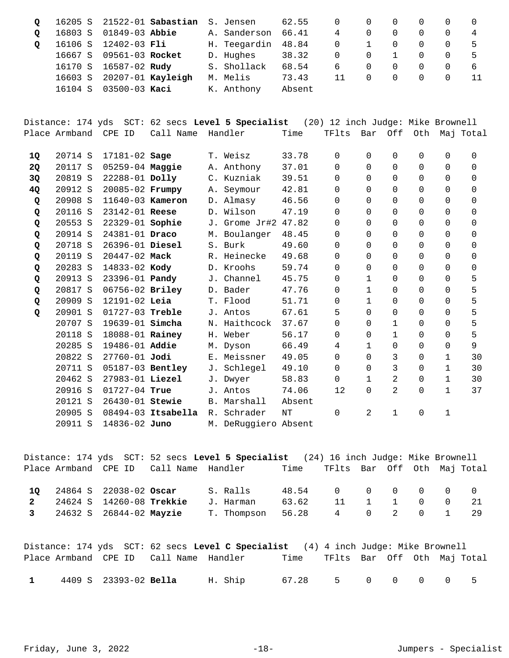|          |         |                       | 16205 S 21522-01 Sabastian S. Jensen |                    | 62.55  |          | $\Omega$ |            |          |     |            |
|----------|---------|-----------------------|--------------------------------------|--------------------|--------|----------|----------|------------|----------|-----|------------|
| $\Omega$ | 16803 S | 01849-03 <b>Abbie</b> |                                      | A. Sanderson       | 66.41  | 4        |          |            |          |     |            |
|          |         | 16106 S 12402-03 Fli  |                                      | H. Teegardin 48.84 |        | $\Omega$ |          | $\Box$     | $\Omega$ | - 0 |            |
|          | 16667 S | 09561-03 Rocket       |                                      | D. Hughes          | 38.32  | $\Omega$ | $\Omega$ |            | $\Omega$ | 0   |            |
|          |         | 16170 S 16587-02 Rudy |                                      | S. Shollack        | 68.54  | 6        | $\Omega$ | $\bigcirc$ | $\Omega$ | - 0 | $\sqrt{2}$ |
|          | 16603 S |                       | 20207-01 Kayleigh                    | M. Melis           | 73.43  | 11       | $\Omega$ | $\cup$     | $\Omega$ |     |            |
|          | 16104 S | 03500-03 Kaci         |                                      | K. Anthony         | Absent |          |          |            |          |     |            |

Distance: 174 yds SCT: 62 secs **Level 5 Specialist** (20) 12 inch Judge: Mike Brownell Place Armband CPE ID Call Name Handler Time TFlts Bar Off Oth Maj Total

| 1Q        | 20714 S | 17181-02 Sage         |                    |                | T. Weisz             | 33.78  | 0           | 0            | 0            | 0        | 0            | 0        |
|-----------|---------|-----------------------|--------------------|----------------|----------------------|--------|-------------|--------------|--------------|----------|--------------|----------|
| <b>2Q</b> | 20117 S | 05259-04 Maggie       |                    |                | A. Anthony           | 37.01  | 0           | $\Omega$     | 0            | 0        | $\Omega$     | 0        |
| 3Q        | 20819 S | 22288-01 Dolly        |                    |                | C. Kuzniak           | 39.51  | 0           | 0            | $\Omega$     | 0        | 0            | 0        |
| 4Q        | 20912 S | 20085-02 Frumpy       |                    |                | A. Seymour           | 42.81  | 0           | 0            | 0            | 0        | 0            | 0        |
| Q         | 20908 S | 11640-03 Kameron      |                    |                | D. Almasy            | 46.56  | 0           | $\Omega$     | $\Omega$     | 0        | 0            | 0        |
| Q         | 20116 S | 23142-01 Reese        |                    |                | D. Wilson            | 47.19  | 0           | 0            | 0            | 0        | 0            | 0        |
| Q         | 20553 S | 22329-01 Sophie       |                    |                | J. Grome Jr#2        | 47.82  | $\Omega$    | $\Omega$     | 0            | 0        | 0            | 0        |
| Q         | 20914 S | 24381-01 Draco        |                    |                | M. Boulanger         | 48.45  | $\Omega$    | $\Omega$     | $\Omega$     | 0        | 0            | 0        |
| Q         | 20718 S | 26396-01 Diesel       |                    |                | S. Burk              | 49.60  | $\Omega$    | $\Omega$     | $\Omega$     | 0        | $\Omega$     | $\Omega$ |
| Q         | 20119 S | 20447-02 Mack         |                    |                | R. Heinecke          | 49.68  | $\Omega$    | $\Omega$     | $\Omega$     | 0        | $\Omega$     | 0        |
| Q         | 20283 S | 14833-02 Kody         |                    |                | D. Kroohs            | 59.74  | $\Omega$    | $\Omega$     | $\Omega$     | 0        | $\Omega$     | 0        |
| Q         | 20913 S | 23396-01 <b>Pandy</b> |                    |                | J. Channel           | 45.75  | $\Omega$    | $\mathbf{1}$ | $\Omega$     | 0        | $\Omega$     | 5        |
| Q         | 20817 S | 06756-02 Briley       |                    |                | D. Bader             | 47.76  | $\Omega$    | 1            | $\Omega$     | 0        | $\Omega$     | 5        |
| Q         | 20909 S | $12191 - 02$ Leia     |                    |                | T. Flood             | 51.71  | $\Omega$    | $\mathbf{1}$ | $\Omega$     | 0        | $\Omega$     | 5        |
| Q         | 20901 S | 01727-03 Treble       |                    |                | J. Antos             | 67.61  | 5           | $\Omega$     | 0            | 0        | $\Omega$     | 5        |
|           | 20707 S | 19639-01 simcha       |                    |                | N. Haithcock         | 37.67  | $\Omega$    | $\Omega$     | 1            | 0        | $\Omega$     | 5        |
|           | 20118 S | 18088-01 Rainey       |                    |                | H. Weber             | 56.17  | $\Omega$    | $\Omega$     | $\mathbf{1}$ | $\Omega$ | $\Omega$     | 5        |
|           | 20285 S | 19486-01 Addie        |                    |                | M. Dyson             | 66.49  | 4           | $\mathbf{1}$ | $\Omega$     | $\Omega$ | $\Omega$     | 9        |
|           | 20822 S | 27760-01 Jodi         |                    |                | E. Meissner          | 49.05  | 0           | $\Omega$     | 3            | 0        | 1            | 30       |
|           | 20711 S | 05187-03 Bentley      |                    |                | J. Schlegel          | 49.10  | $\Omega$    | 0            | 3            | 0        | $\mathbf 1$  | 30       |
|           | 20462 S | 27983-01 Liezel       |                    |                | J. Dwyer             | 58.83  | $\mathbf 0$ | $\mathbf{1}$ | 2            | 0        | $\mathbf{1}$ | 30       |
|           | 20916 S | 01727-04 True         |                    |                | J. Antos             | 74.06  | 12          | $\Omega$     | 2            | 0        | $\mathbf 1$  | 37       |
|           | 20121 S | 26430-01 Stewie       |                    |                | B. Marshall          | Absent |             |              |              |          |              |          |
|           | 20905 S |                       | 08494-03 Itsabella | R <sub>1</sub> | Schrader             | NΤ     | 0           | 2            | $\mathbf{1}$ | 0        | 1            |          |
|           | 20911 S | 14836-02 Juno         |                    |                | M. DeRuggiero Absent |        |             |              |              |          |              |          |

Distance: 174 yds SCT: 52 secs **Level 5 Specialist** (24) 16 inch Judge: Mike Brownell Place Armband CPE ID Call Name Handler Time TFlts Bar Off Oth Maj Total 24864 S 22038-02 S. Ralls 48.54 0 0 0 0 0 0 **1Q Oscar**  2 24624 S 14260-08 **Trekkie** J. Harman 63.62 11 1 1 0 0 21<br>3 24632 S 26844-02 Mayzie T. Thompson 56.28 4 0 2 0 1 29 24632 S 26844-02 T. Thompson 56.28 4 0 2 0 1 29 **3 Mayzie** 

Distance: 174 yds SCT: 62 secs **Level C Specialist** (4) 4 inch Judge: Mike Brownell Place Armband CPE ID Call Name Handler Time TFlts Bar Off Oth Maj Total 4409 S 23393-02 H. Ship 67.28 5 0 0 0 0 5 **1 Bella**